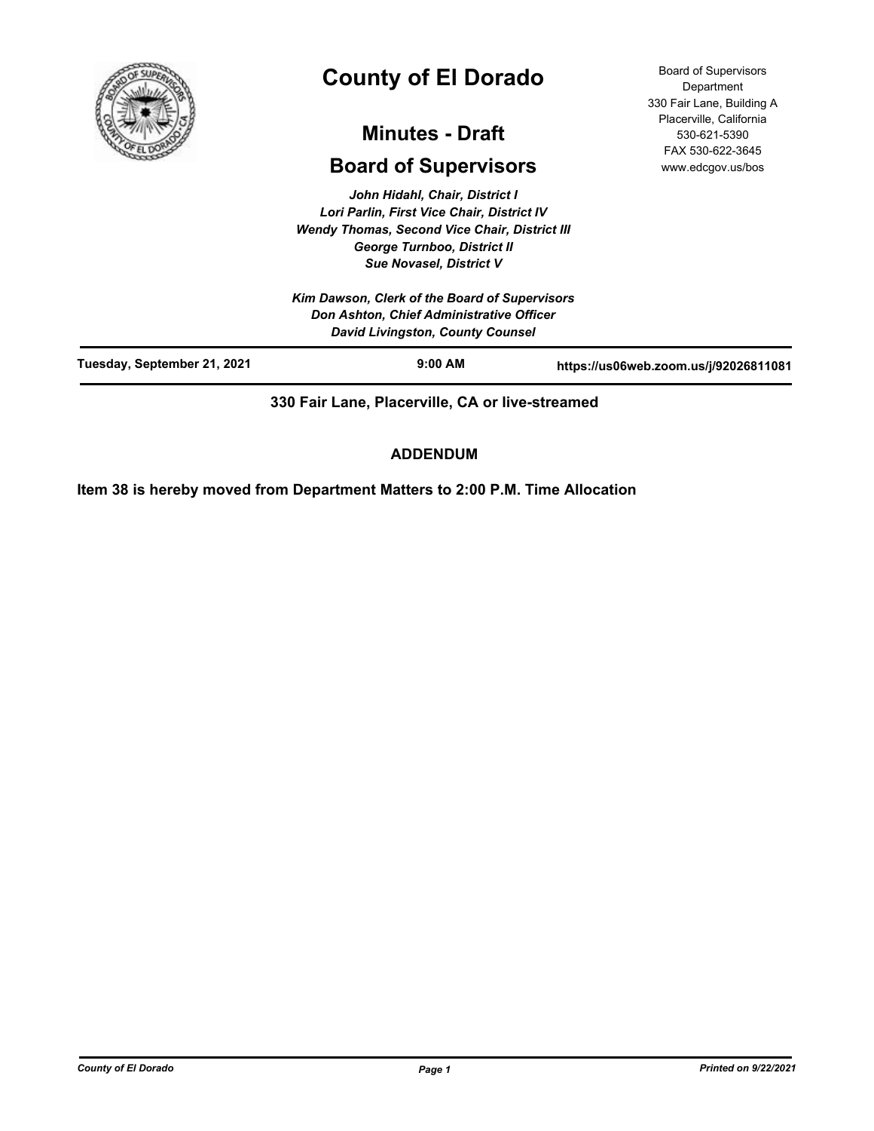

# **County of El Dorado**

## **Minutes - Draft**

## **Board of Supervisors**

*John Hidahl, Chair, District I Lori Parlin, First Vice Chair, District IV Wendy Thomas, Second Vice Chair, District III George Turnboo, District II Sue Novasel, District V*

*Kim Dawson, Clerk of the Board of Supervisors Don Ashton, Chief Administrative Officer David Livingston, County Counsel*

Board of Supervisors **Department** 330 Fair Lane, Building A Placerville, California 530-621-5390 FAX 530-622-3645 www.edcgov.us/bos

|                             | <b>David Elvingston, County Counser</b> |                                       |
|-----------------------------|-----------------------------------------|---------------------------------------|
| Tuesday, September 21, 2021 | $9:00$ AM                               | https://us06web.zoom.us/j/92026811081 |
|                             |                                         |                                       |

**330 Fair Lane, Placerville, CA or live-streamed**

## **ADDENDUM**

**Item 38 is hereby moved from Department Matters to 2:00 P.M. Time Allocation**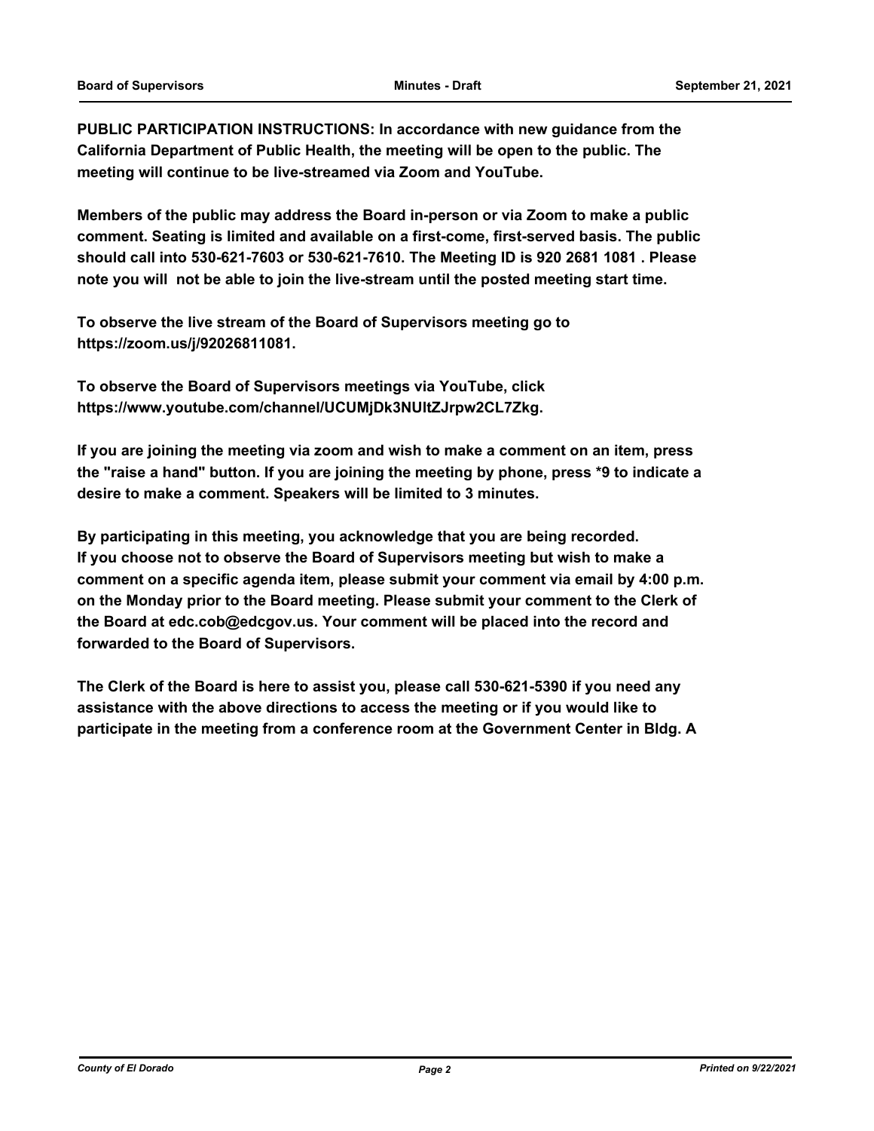**PUBLIC PARTICIPATION INSTRUCTIONS: In accordance with new guidance from the California Department of Public Health, the meeting will be open to the public. The meeting will continue to be live-streamed via Zoom and YouTube.**

**Members of the public may address the Board in-person or via Zoom to make a public comment. Seating is limited and available on a first-come, first-served basis. The public should call into 530-621-7603 or 530-621-7610. The Meeting ID is 920 2681 1081 . Please note you will not be able to join the live-stream until the posted meeting start time.**

**To observe the live stream of the Board of Supervisors meeting go to https://zoom.us/j/92026811081.**

**To observe the Board of Supervisors meetings via YouTube, click https://www.youtube.com/channel/UCUMjDk3NUltZJrpw2CL7Zkg.**

**If you are joining the meeting via zoom and wish to make a comment on an item, press the "raise a hand" button. If you are joining the meeting by phone, press \*9 to indicate a desire to make a comment. Speakers will be limited to 3 minutes.**

**By participating in this meeting, you acknowledge that you are being recorded. If you choose not to observe the Board of Supervisors meeting but wish to make a comment on a specific agenda item, please submit your comment via email by 4:00 p.m. on the Monday prior to the Board meeting. Please submit your comment to the Clerk of the Board at edc.cob@edcgov.us. Your comment will be placed into the record and forwarded to the Board of Supervisors.**

**The Clerk of the Board is here to assist you, please call 530-621-5390 if you need any assistance with the above directions to access the meeting or if you would like to participate in the meeting from a conference room at the Government Center in Bldg. A**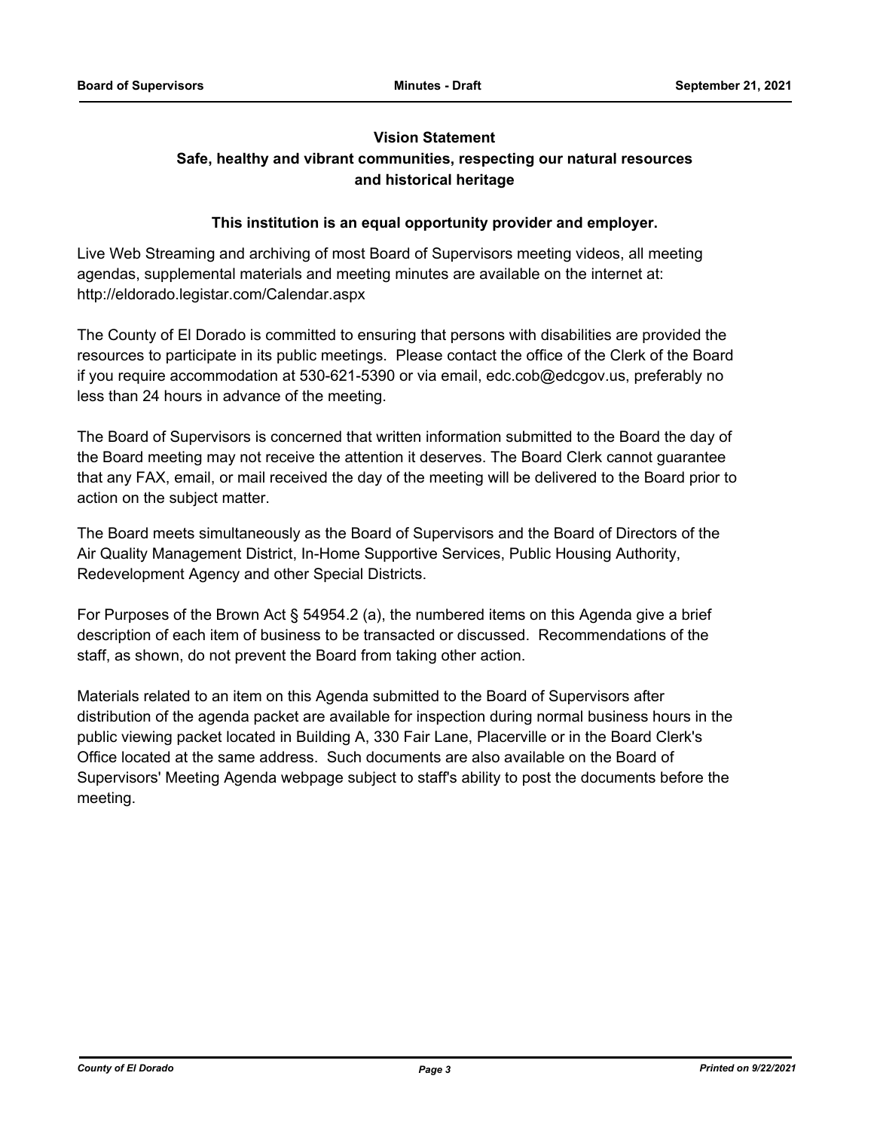## **Vision Statement**

## **Safe, healthy and vibrant communities, respecting our natural resources and historical heritage**

#### **This institution is an equal opportunity provider and employer.**

Live Web Streaming and archiving of most Board of Supervisors meeting videos, all meeting agendas, supplemental materials and meeting minutes are available on the internet at: http://eldorado.legistar.com/Calendar.aspx

The County of El Dorado is committed to ensuring that persons with disabilities are provided the resources to participate in its public meetings. Please contact the office of the Clerk of the Board if you require accommodation at 530-621-5390 or via email, edc.cob@edcgov.us, preferably no less than 24 hours in advance of the meeting.

The Board of Supervisors is concerned that written information submitted to the Board the day of the Board meeting may not receive the attention it deserves. The Board Clerk cannot guarantee that any FAX, email, or mail received the day of the meeting will be delivered to the Board prior to action on the subject matter.

The Board meets simultaneously as the Board of Supervisors and the Board of Directors of the Air Quality Management District, In-Home Supportive Services, Public Housing Authority, Redevelopment Agency and other Special Districts.

For Purposes of the Brown Act § 54954.2 (a), the numbered items on this Agenda give a brief description of each item of business to be transacted or discussed. Recommendations of the staff, as shown, do not prevent the Board from taking other action.

Materials related to an item on this Agenda submitted to the Board of Supervisors after distribution of the agenda packet are available for inspection during normal business hours in the public viewing packet located in Building A, 330 Fair Lane, Placerville or in the Board Clerk's Office located at the same address. Such documents are also available on the Board of Supervisors' Meeting Agenda webpage subject to staff's ability to post the documents before the meeting.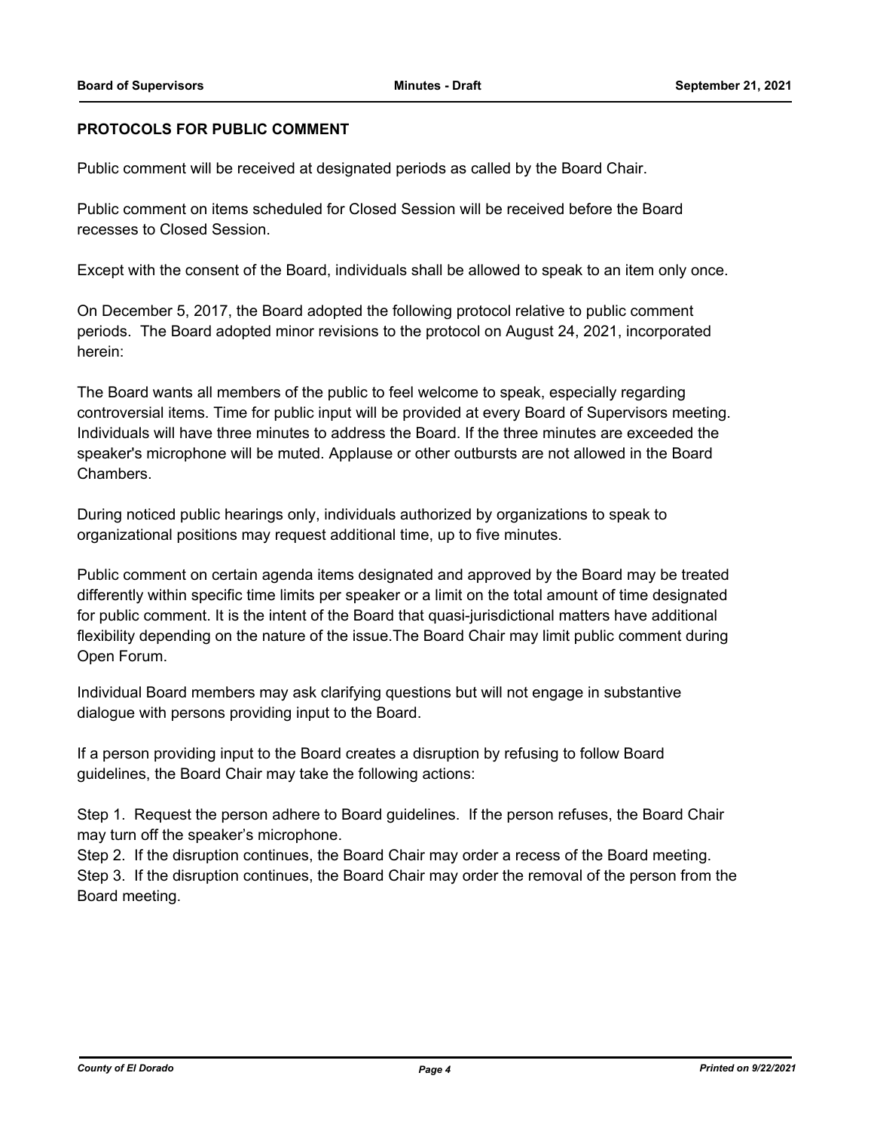#### **PROTOCOLS FOR PUBLIC COMMENT**

Public comment will be received at designated periods as called by the Board Chair.

Public comment on items scheduled for Closed Session will be received before the Board recesses to Closed Session.

Except with the consent of the Board, individuals shall be allowed to speak to an item only once.

On December 5, 2017, the Board adopted the following protocol relative to public comment periods. The Board adopted minor revisions to the protocol on August 24, 2021, incorporated herein:

The Board wants all members of the public to feel welcome to speak, especially regarding controversial items. Time for public input will be provided at every Board of Supervisors meeting. Individuals will have three minutes to address the Board. If the three minutes are exceeded the speaker's microphone will be muted. Applause or other outbursts are not allowed in the Board Chambers.

During noticed public hearings only, individuals authorized by organizations to speak to organizational positions may request additional time, up to five minutes.

Public comment on certain agenda items designated and approved by the Board may be treated differently within specific time limits per speaker or a limit on the total amount of time designated for public comment. It is the intent of the Board that quasi-jurisdictional matters have additional flexibility depending on the nature of the issue.The Board Chair may limit public comment during Open Forum.

Individual Board members may ask clarifying questions but will not engage in substantive dialogue with persons providing input to the Board.

If a person providing input to the Board creates a disruption by refusing to follow Board guidelines, the Board Chair may take the following actions:

Step 1. Request the person adhere to Board guidelines. If the person refuses, the Board Chair may turn off the speaker's microphone.

Step 2. If the disruption continues, the Board Chair may order a recess of the Board meeting. Step 3. If the disruption continues, the Board Chair may order the removal of the person from the Board meeting.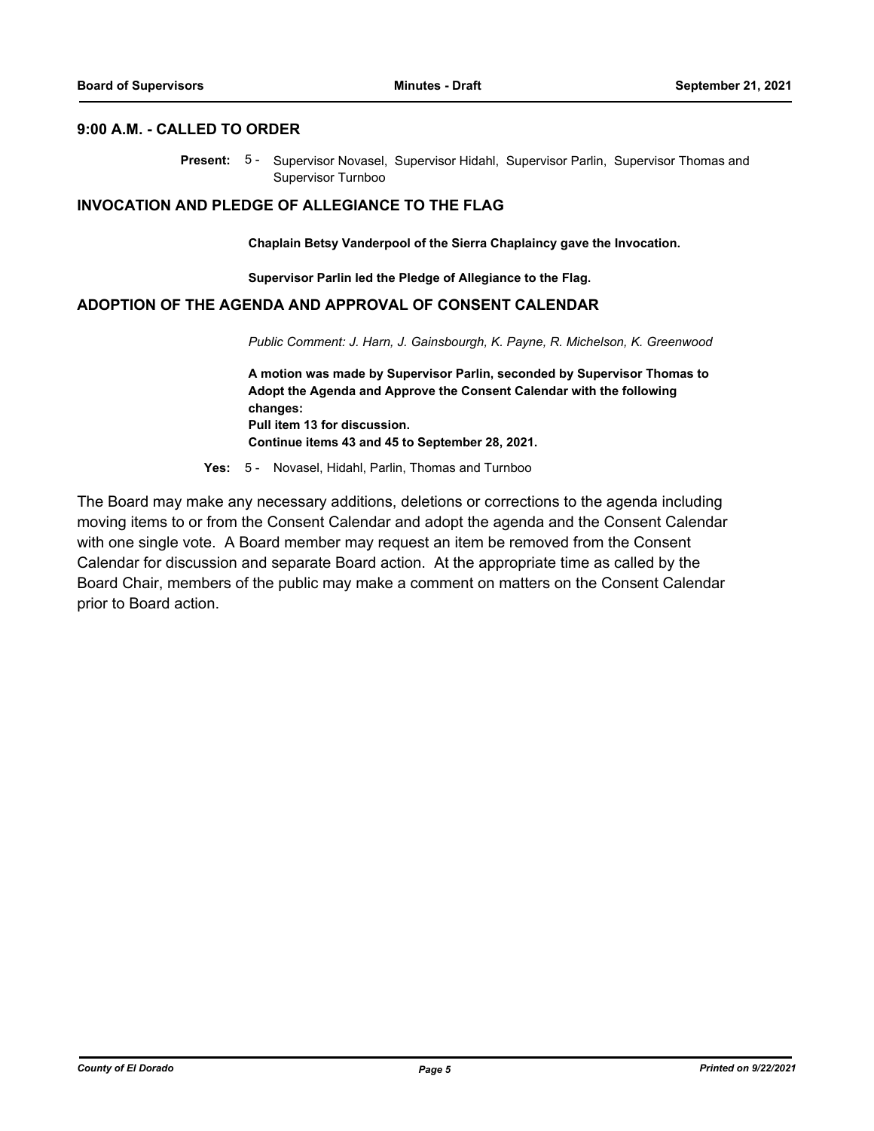#### **9:00 A.M. - CALLED TO ORDER**

Present: 5- Supervisor Novasel, Supervisor Hidahl, Supervisor Parlin, Supervisor Thomas and Supervisor Turnboo

#### **INVOCATION AND PLEDGE OF ALLEGIANCE TO THE FLAG**

**Chaplain Betsy Vanderpool of the Sierra Chaplaincy gave the Invocation.**

**Supervisor Parlin led the Pledge of Allegiance to the Flag.**

#### **ADOPTION OF THE AGENDA AND APPROVAL OF CONSENT CALENDAR**

*Public Comment: J. Harn, J. Gainsbourgh, K. Payne, R. Michelson, K. Greenwood*

**A motion was made by Supervisor Parlin, seconded by Supervisor Thomas to Adopt the Agenda and Approve the Consent Calendar with the following changes: Pull item 13 for discussion. Continue items 43 and 45 to September 28, 2021.**

**Yes:** 5 - Novasel, Hidahl, Parlin, Thomas and Turnboo

The Board may make any necessary additions, deletions or corrections to the agenda including moving items to or from the Consent Calendar and adopt the agenda and the Consent Calendar with one single vote. A Board member may request an item be removed from the Consent Calendar for discussion and separate Board action. At the appropriate time as called by the Board Chair, members of the public may make a comment on matters on the Consent Calendar prior to Board action.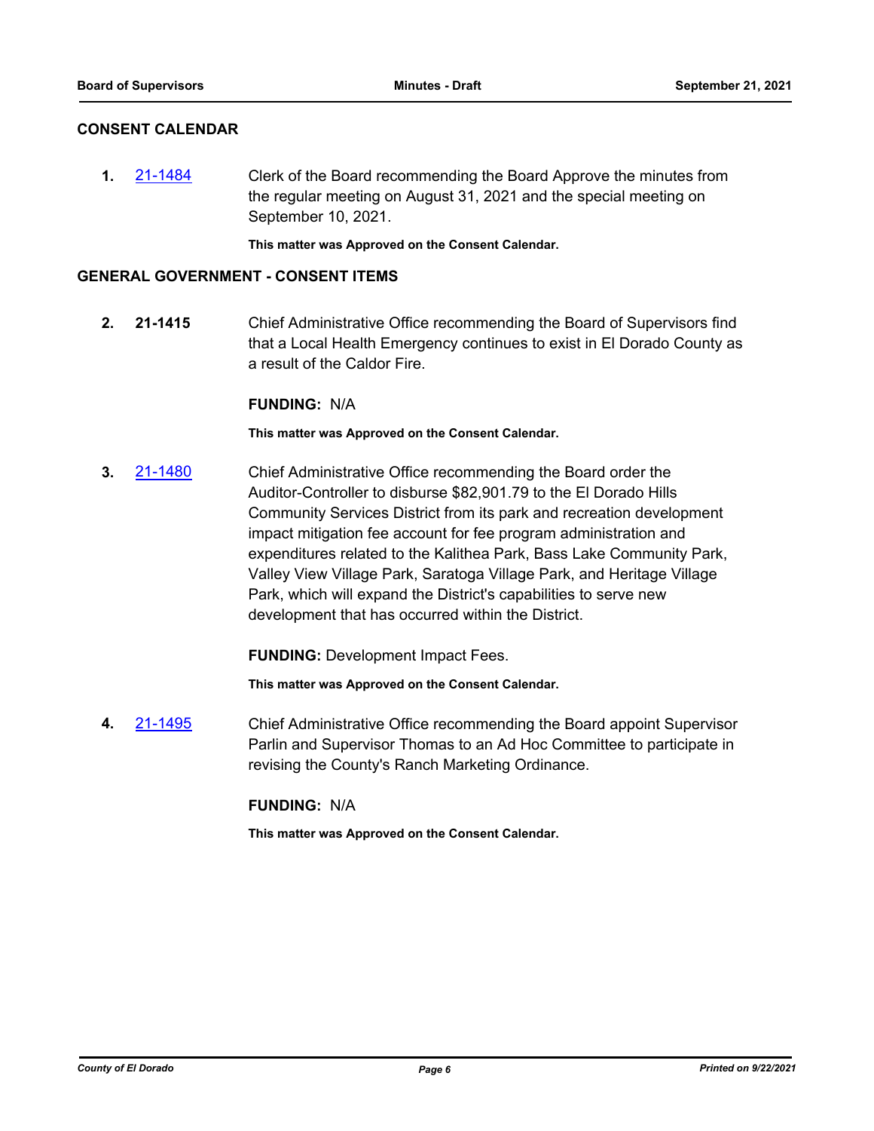#### **CONSENT CALENDAR**

**1.** [21-1484](http://eldorado.legistar.com/gateway.aspx?m=l&id=/matter.aspx?key=30379) Clerk of the Board recommending the Board Approve the minutes from the regular meeting on August 31, 2021 and the special meeting on September 10, 2021.

**This matter was Approved on the Consent Calendar.**

#### **GENERAL GOVERNMENT - CONSENT ITEMS**

**2. 21-1415** Chief Administrative Office recommending the Board of Supervisors find that a Local Health Emergency continues to exist in El Dorado County as a result of the Caldor Fire.

#### **FUNDING:** N/A

**This matter was Approved on the Consent Calendar.**

**3.** [21-1480](http://eldorado.legistar.com/gateway.aspx?m=l&id=/matter.aspx?key=30375) Chief Administrative Office recommending the Board order the Auditor-Controller to disburse \$82,901.79 to the El Dorado Hills Community Services District from its park and recreation development impact mitigation fee account for fee program administration and expenditures related to the Kalithea Park, Bass Lake Community Park, Valley View Village Park, Saratoga Village Park, and Heritage Village Park, which will expand the District's capabilities to serve new development that has occurred within the District.

**FUNDING:** Development Impact Fees.

**This matter was Approved on the Consent Calendar.**

**4.** [21-1495](http://eldorado.legistar.com/gateway.aspx?m=l&id=/matter.aspx?key=30390) Chief Administrative Office recommending the Board appoint Supervisor Parlin and Supervisor Thomas to an Ad Hoc Committee to participate in revising the County's Ranch Marketing Ordinance.

### **FUNDING:** N/A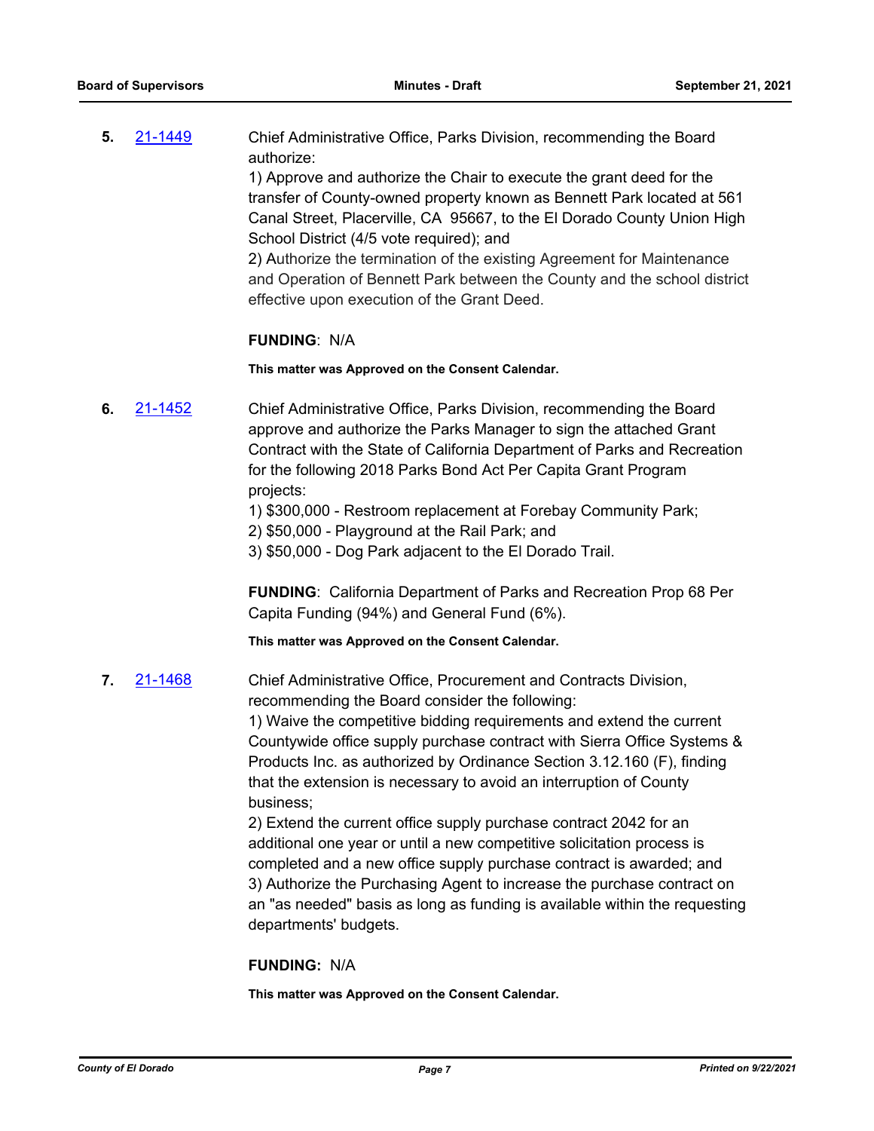**5.** [21-1449](http://eldorado.legistar.com/gateway.aspx?m=l&id=/matter.aspx?key=30344) Chief Administrative Office, Parks Division, recommending the Board authorize:

> 1) Approve and authorize the Chair to execute the grant deed for the transfer of County-owned property known as Bennett Park located at 561 Canal Street, Placerville, CA 95667, to the El Dorado County Union High School District (4/5 vote required); and

2) Authorize the termination of the existing Agreement for Maintenance and Operation of Bennett Park between the County and the school district effective upon execution of the Grant Deed.

#### **FUNDING**: N/A

**This matter was Approved on the Consent Calendar.**

- **6.** [21-1452](http://eldorado.legistar.com/gateway.aspx?m=l&id=/matter.aspx?key=30347) Chief Administrative Office, Parks Division, recommending the Board approve and authorize the Parks Manager to sign the attached Grant Contract with the State of California Department of Parks and Recreation for the following 2018 Parks Bond Act Per Capita Grant Program projects:
	- 1) \$300,000 Restroom replacement at Forebay Community Park;
	- 2) \$50,000 Playground at the Rail Park; and
	- 3) \$50,000 Dog Park adjacent to the El Dorado Trail.

**FUNDING**: California Department of Parks and Recreation Prop 68 Per Capita Funding (94%) and General Fund (6%).

**This matter was Approved on the Consent Calendar.**

**7.** [21-1468](http://eldorado.legistar.com/gateway.aspx?m=l&id=/matter.aspx?key=30363) Chief Administrative Office, Procurement and Contracts Division, recommending the Board consider the following:

> 1) Waive the competitive bidding requirements and extend the current Countywide office supply purchase contract with Sierra Office Systems & Products Inc. as authorized by Ordinance Section 3.12.160 (F), finding that the extension is necessary to avoid an interruption of County business;

> 2) Extend the current office supply purchase contract 2042 for an additional one year or until a new competitive solicitation process is completed and a new office supply purchase contract is awarded; and 3) Authorize the Purchasing Agent to increase the purchase contract on an "as needed" basis as long as funding is available within the requesting departments' budgets.

#### **FUNDING:** N/A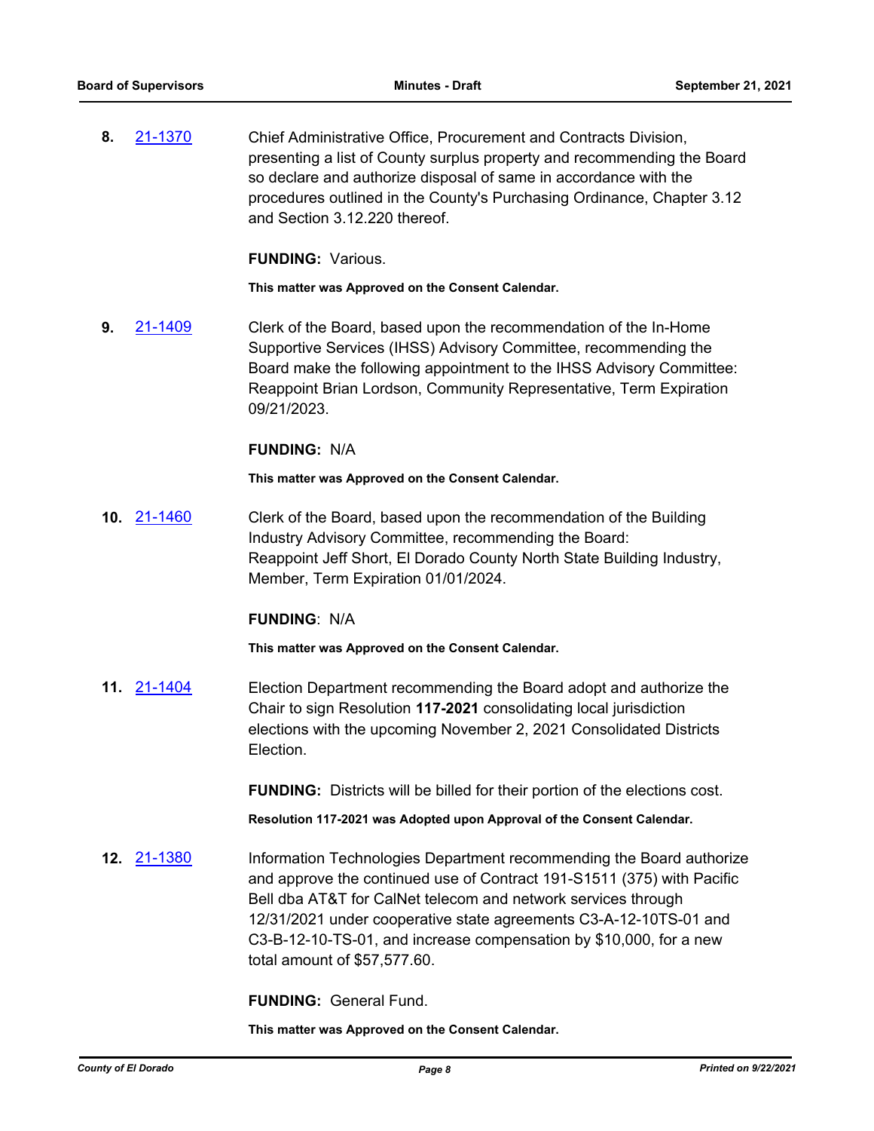**8.** [21-1370](http://eldorado.legistar.com/gateway.aspx?m=l&id=/matter.aspx?key=30265) Chief Administrative Office, Procurement and Contracts Division, presenting a list of County surplus property and recommending the Board so declare and authorize disposal of same in accordance with the procedures outlined in the County's Purchasing Ordinance, Chapter 3.12 and Section 3.12.220 thereof.

**FUNDING:** Various.

**This matter was Approved on the Consent Calendar.**

**9.** [21-1409](http://eldorado.legistar.com/gateway.aspx?m=l&id=/matter.aspx?key=30304) Clerk of the Board, based upon the recommendation of the In-Home Supportive Services (IHSS) Advisory Committee, recommending the Board make the following appointment to the IHSS Advisory Committee: Reappoint Brian Lordson, Community Representative, Term Expiration 09/21/2023.

#### **FUNDING:** N/A

**This matter was Approved on the Consent Calendar.**

**10.** [21-1460](http://eldorado.legistar.com/gateway.aspx?m=l&id=/matter.aspx?key=30355) Clerk of the Board, based upon the recommendation of the Building Industry Advisory Committee, recommending the Board: Reappoint Jeff Short, El Dorado County North State Building Industry, Member, Term Expiration 01/01/2024.

#### **FUNDING**: N/A

**This matter was Approved on the Consent Calendar.**

**11.** [21-1404](http://eldorado.legistar.com/gateway.aspx?m=l&id=/matter.aspx?key=30299) Election Department recommending the Board adopt and authorize the Chair to sign Resolution **117-2021** consolidating local jurisdiction elections with the upcoming November 2, 2021 Consolidated Districts Election.

**FUNDING:** Districts will be billed for their portion of the elections cost.

**Resolution 117-2021 was Adopted upon Approval of the Consent Calendar.**

**12.** [21-1380](http://eldorado.legistar.com/gateway.aspx?m=l&id=/matter.aspx?key=30275) Information Technologies Department recommending the Board authorize and approve the continued use of Contract 191-S1511 (375) with Pacific Bell dba AT&T for CalNet telecom and network services through 12/31/2021 under cooperative state agreements C3-A-12-10TS-01 and C3-B-12-10-TS-01, and increase compensation by \$10,000, for a new total amount of \$57,577.60.

**FUNDING:** General Fund.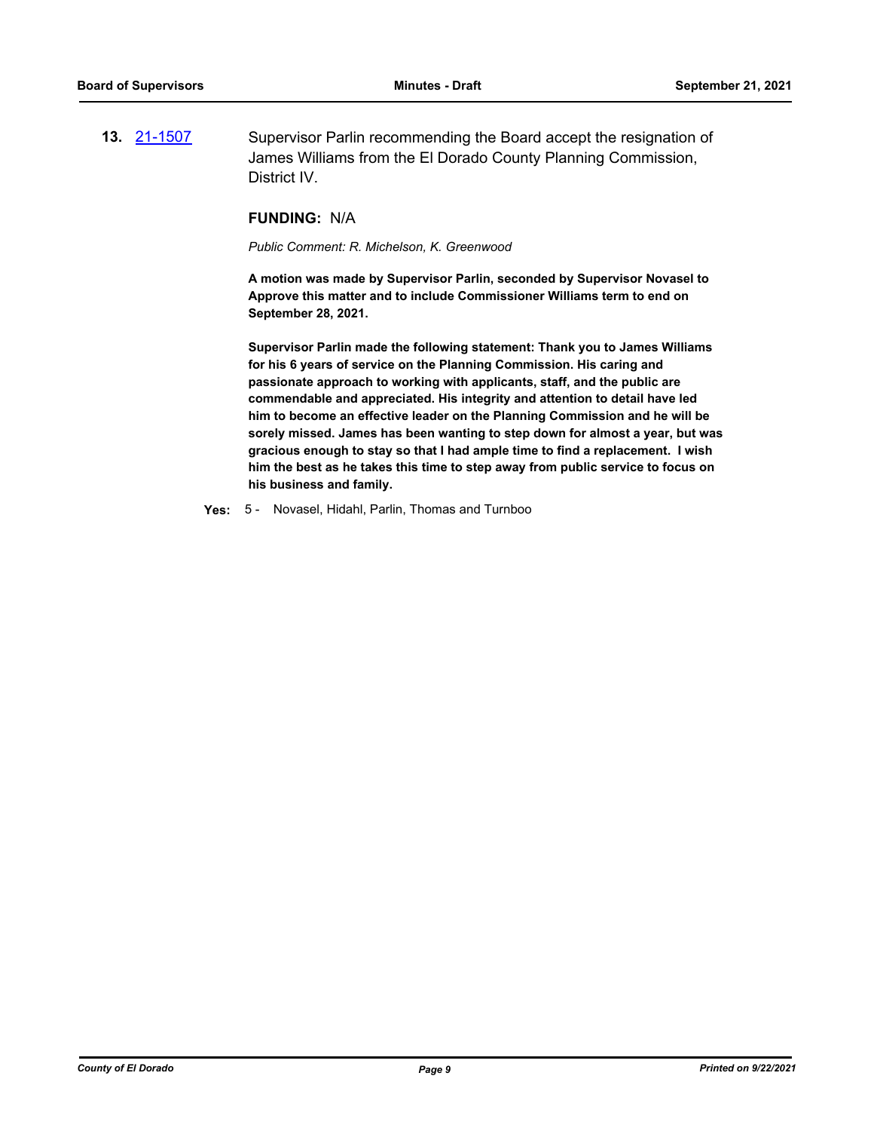**13.** [21-1507](http://eldorado.legistar.com/gateway.aspx?m=l&id=/matter.aspx?key=30402) Supervisor Parlin recommending the Board accept the resignation of James Williams from the El Dorado County Planning Commission, District IV.

#### **FUNDING:** N/A

*Public Comment: R. Michelson, K. Greenwood*

**A motion was made by Supervisor Parlin, seconded by Supervisor Novasel to Approve this matter and to include Commissioner Williams term to end on September 28, 2021.** 

**Supervisor Parlin made the following statement: Thank you to James Williams for his 6 years of service on the Planning Commission. His caring and passionate approach to working with applicants, staff, and the public are commendable and appreciated. His integrity and attention to detail have led him to become an effective leader on the Planning Commission and he will be sorely missed. James has been wanting to step down for almost a year, but was gracious enough to stay so that I had ample time to find a replacement. I wish him the best as he takes this time to step away from public service to focus on his business and family.**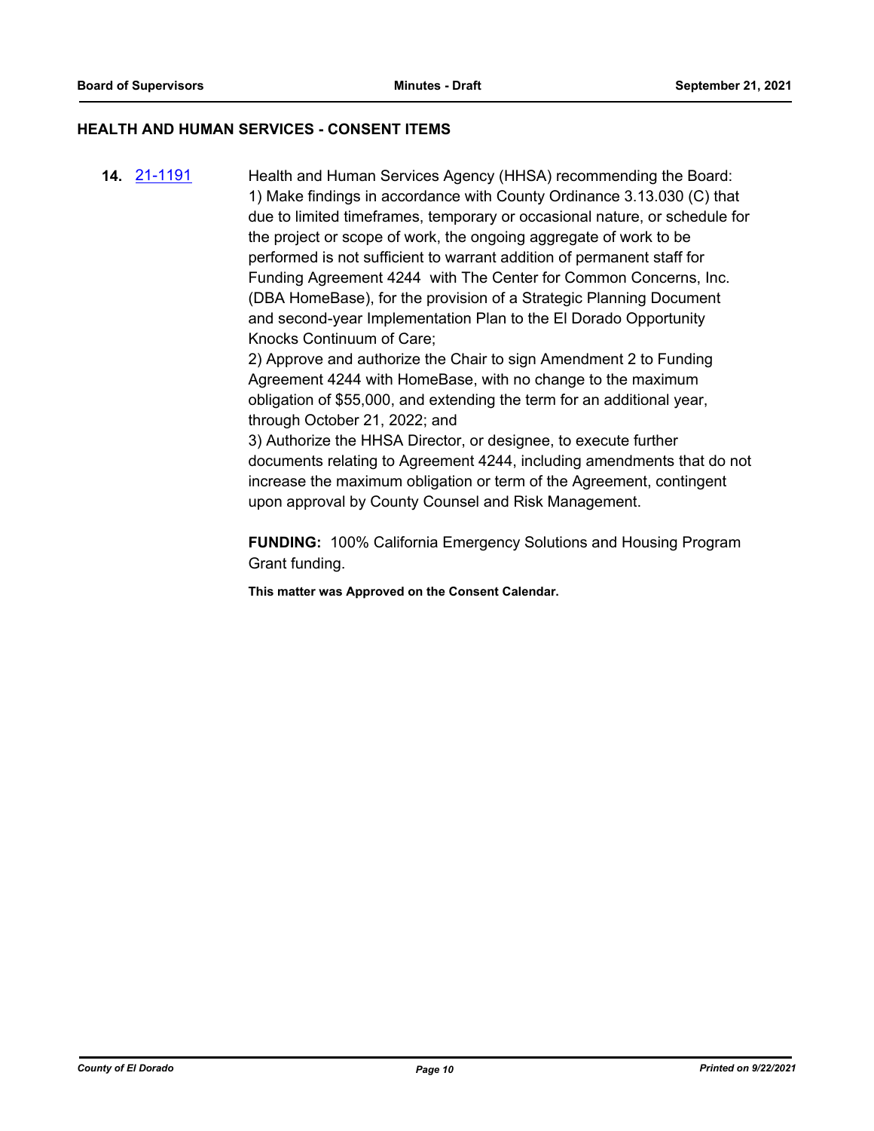### **HEALTH AND HUMAN SERVICES - CONSENT ITEMS**

**14.** [21-1191](http://eldorado.legistar.com/gateway.aspx?m=l&id=/matter.aspx?key=30086) Health and Human Services Agency (HHSA) recommending the Board: 1) Make findings in accordance with County Ordinance 3.13.030 (C) that due to limited timeframes, temporary or occasional nature, or schedule for the project or scope of work, the ongoing aggregate of work to be performed is not sufficient to warrant addition of permanent staff for Funding Agreement 4244 with The Center for Common Concerns, Inc. (DBA HomeBase), for the provision of a Strategic Planning Document and second-year Implementation Plan to the El Dorado Opportunity Knocks Continuum of Care;

> 2) Approve and authorize the Chair to sign Amendment 2 to Funding Agreement 4244 with HomeBase, with no change to the maximum obligation of \$55,000, and extending the term for an additional year, through October 21, 2022; and

3) Authorize the HHSA Director, or designee, to execute further documents relating to Agreement 4244, including amendments that do not increase the maximum obligation or term of the Agreement, contingent upon approval by County Counsel and Risk Management.

**FUNDING:** 100% California Emergency Solutions and Housing Program Grant funding.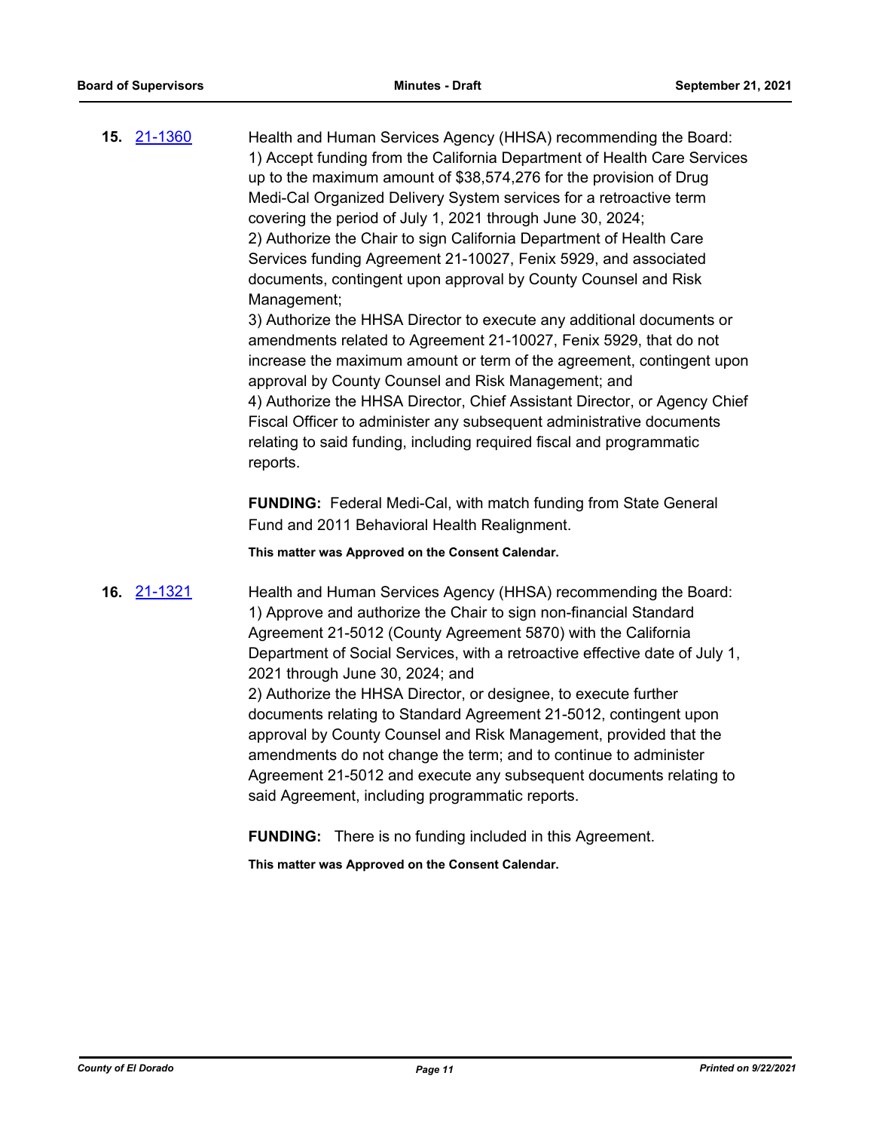**15.** [21-1360](http://eldorado.legistar.com/gateway.aspx?m=l&id=/matter.aspx?key=30255) Health and Human Services Agency (HHSA) recommending the Board: 1) Accept funding from the California Department of Health Care Services up to the maximum amount of \$38,574,276 for the provision of Drug Medi-Cal Organized Delivery System services for a retroactive term covering the period of July 1, 2021 through June 30, 2024; 2) Authorize the Chair to sign California Department of Health Care Services funding Agreement 21-10027, Fenix 5929, and associated documents, contingent upon approval by County Counsel and Risk Management;

3) Authorize the HHSA Director to execute any additional documents or amendments related to Agreement 21-10027, Fenix 5929, that do not increase the maximum amount or term of the agreement, contingent upon approval by County Counsel and Risk Management; and 4) Authorize the HHSA Director, Chief Assistant Director, or Agency Chief Fiscal Officer to administer any subsequent administrative documents relating to said funding, including required fiscal and programmatic reports.

**FUNDING:** Federal Medi-Cal, with match funding from State General Fund and 2011 Behavioral Health Realignment.

**This matter was Approved on the Consent Calendar.**

**16.** [21-1321](http://eldorado.legistar.com/gateway.aspx?m=l&id=/matter.aspx?key=30216) Health and Human Services Agency (HHSA) recommending the Board: 1) Approve and authorize the Chair to sign non-financial Standard Agreement 21-5012 (County Agreement 5870) with the California Department of Social Services, with a retroactive effective date of July 1, 2021 through June 30, 2024; and 2) Authorize the HHSA Director, or designee, to execute further documents relating to Standard Agreement 21-5012, contingent upon approval by County Counsel and Risk Management, provided that the amendments do not change the term; and to continue to administer Agreement 21-5012 and execute any subsequent documents relating to said Agreement, including programmatic reports.

**FUNDING:** There is no funding included in this Agreement.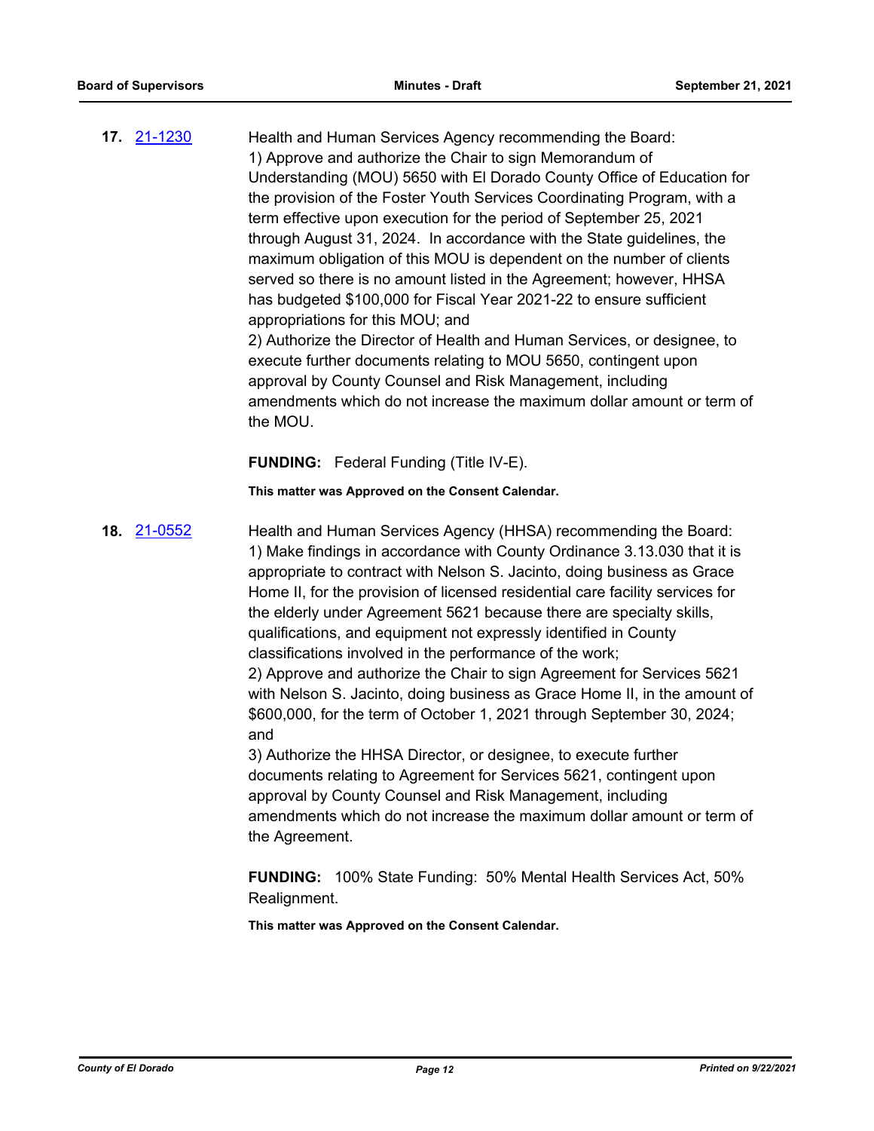**17.** [21-1230](http://eldorado.legistar.com/gateway.aspx?m=l&id=/matter.aspx?key=30125) Health and Human Services Agency recommending the Board: 1) Approve and authorize the Chair to sign Memorandum of Understanding (MOU) 5650 with El Dorado County Office of Education for the provision of the Foster Youth Services Coordinating Program, with a term effective upon execution for the period of September 25, 2021 through August 31, 2024. In accordance with the State guidelines, the maximum obligation of this MOU is dependent on the number of clients served so there is no amount listed in the Agreement; however, HHSA has budgeted \$100,000 for Fiscal Year 2021-22 to ensure sufficient appropriations for this MOU; and 2) Authorize the Director of Health and Human Services, or designee, to execute further documents relating to MOU 5650, contingent upon approval by County Counsel and Risk Management, including amendments which do not increase the maximum dollar amount or term of

**FUNDING:** Federal Funding (Title IV-E).

the MOU.

**This matter was Approved on the Consent Calendar.**

**18.** [21-0552](http://eldorado.legistar.com/gateway.aspx?m=l&id=/matter.aspx?key=29448) Health and Human Services Agency (HHSA) recommending the Board: 1) Make findings in accordance with County Ordinance 3.13.030 that it is appropriate to contract with Nelson S. Jacinto, doing business as Grace Home II, for the provision of licensed residential care facility services for the elderly under Agreement 5621 because there are specialty skills, qualifications, and equipment not expressly identified in County classifications involved in the performance of the work; 2) Approve and authorize the Chair to sign Agreement for Services 5621 with Nelson S. Jacinto, doing business as Grace Home II, in the amount of \$600,000, for the term of October 1, 2021 through September 30, 2024; and

> 3) Authorize the HHSA Director, or designee, to execute further documents relating to Agreement for Services 5621, contingent upon approval by County Counsel and Risk Management, including amendments which do not increase the maximum dollar amount or term of the Agreement.

**FUNDING:** 100% State Funding: 50% Mental Health Services Act, 50% Realignment.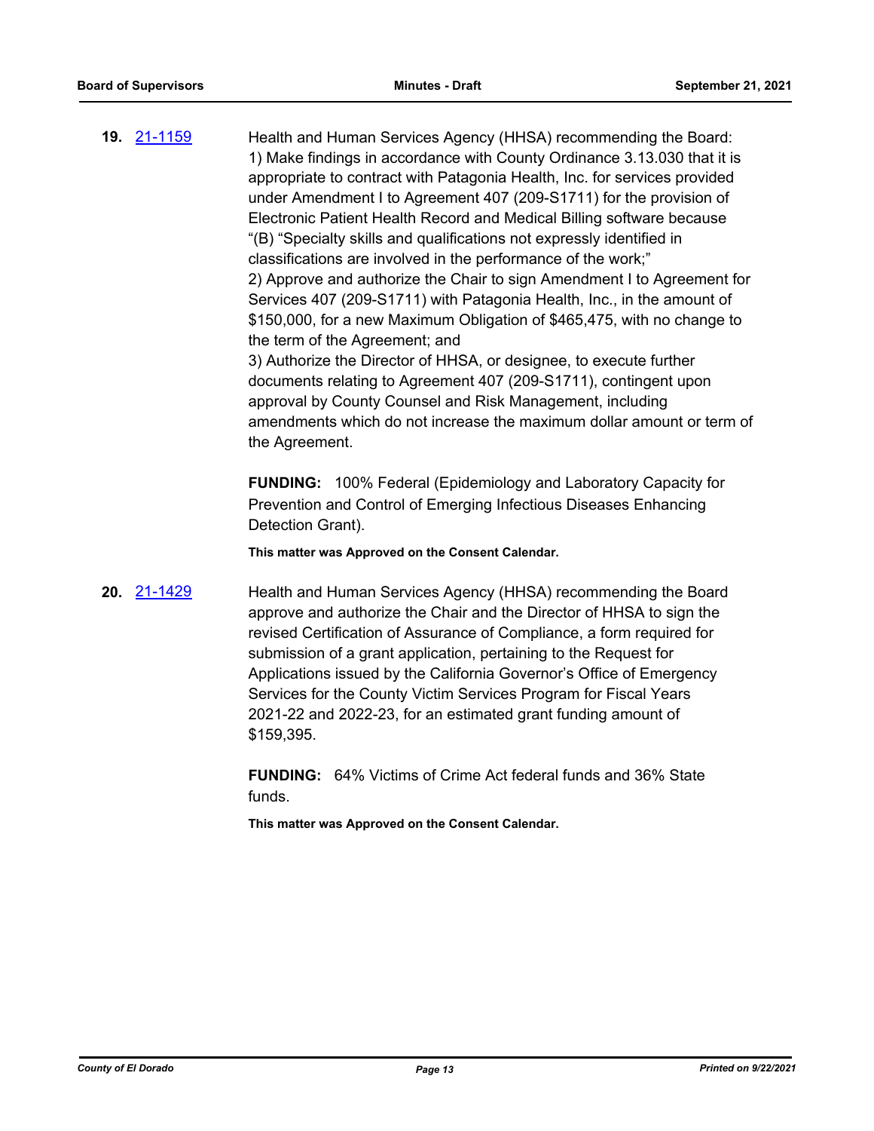**19.** [21-1159](http://eldorado.legistar.com/gateway.aspx?m=l&id=/matter.aspx?key=30054) Health and Human Services Agency (HHSA) recommending the Board: 1) Make findings in accordance with County Ordinance 3.13.030 that it is appropriate to contract with Patagonia Health, Inc. for services provided under Amendment I to Agreement 407 (209-S1711) for the provision of Electronic Patient Health Record and Medical Billing software because "(B) "Specialty skills and qualifications not expressly identified in classifications are involved in the performance of the work;" 2) Approve and authorize the Chair to sign Amendment I to Agreement for Services 407 (209-S1711) with Patagonia Health, Inc., in the amount of \$150,000, for a new Maximum Obligation of \$465,475, with no change to the term of the Agreement; and 3) Authorize the Director of HHSA, or designee, to execute further documents relating to Agreement 407 (209-S1711), contingent upon approval by County Counsel and Risk Management, including amendments which do not increase the maximum dollar amount or term of

> **FUNDING:** 100% Federal (Epidemiology and Laboratory Capacity for Prevention and Control of Emerging Infectious Diseases Enhancing Detection Grant).

**This matter was Approved on the Consent Calendar.**

the Agreement.

**20.** [21-1429](http://eldorado.legistar.com/gateway.aspx?m=l&id=/matter.aspx?key=30324) Health and Human Services Agency (HHSA) recommending the Board approve and authorize the Chair and the Director of HHSA to sign the revised Certification of Assurance of Compliance, a form required for submission of a grant application, pertaining to the Request for Applications issued by the California Governor's Office of Emergency Services for the County Victim Services Program for Fiscal Years 2021-22 and 2022-23, for an estimated grant funding amount of \$159,395.

> **FUNDING:** 64% Victims of Crime Act federal funds and 36% State funds.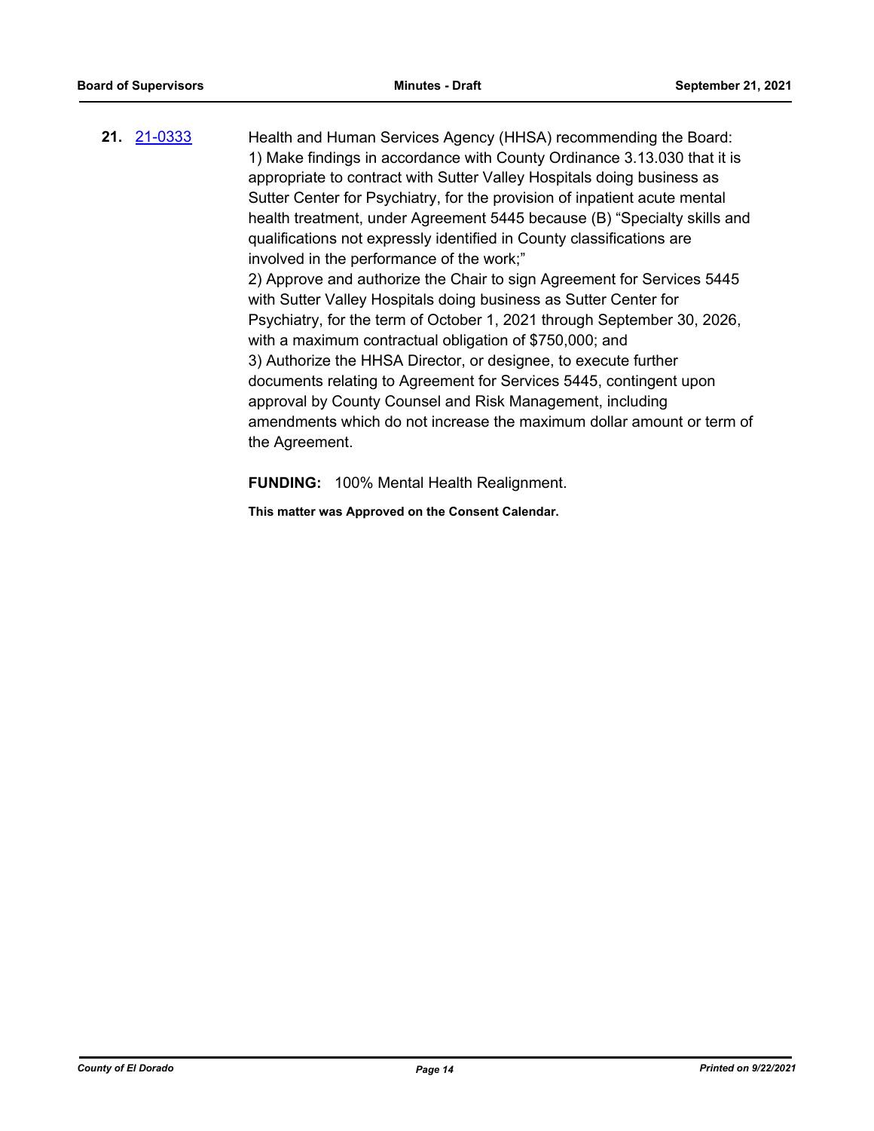**21.** [21-0333](http://eldorado.legistar.com/gateway.aspx?m=l&id=/matter.aspx?key=29229) Health and Human Services Agency (HHSA) recommending the Board: 1) Make findings in accordance with County Ordinance 3.13.030 that it is appropriate to contract with Sutter Valley Hospitals doing business as Sutter Center for Psychiatry, for the provision of inpatient acute mental health treatment, under Agreement 5445 because (B) "Specialty skills and qualifications not expressly identified in County classifications are involved in the performance of the work;" 2) Approve and authorize the Chair to sign Agreement for Services 5445 with Sutter Valley Hospitals doing business as Sutter Center for Psychiatry, for the term of October 1, 2021 through September 30, 2026, with a maximum contractual obligation of \$750,000; and 3) Authorize the HHSA Director, or designee, to execute further documents relating to Agreement for Services 5445, contingent upon approval by County Counsel and Risk Management, including amendments which do not increase the maximum dollar amount or term of the Agreement.

**FUNDING:** 100% Mental Health Realignment.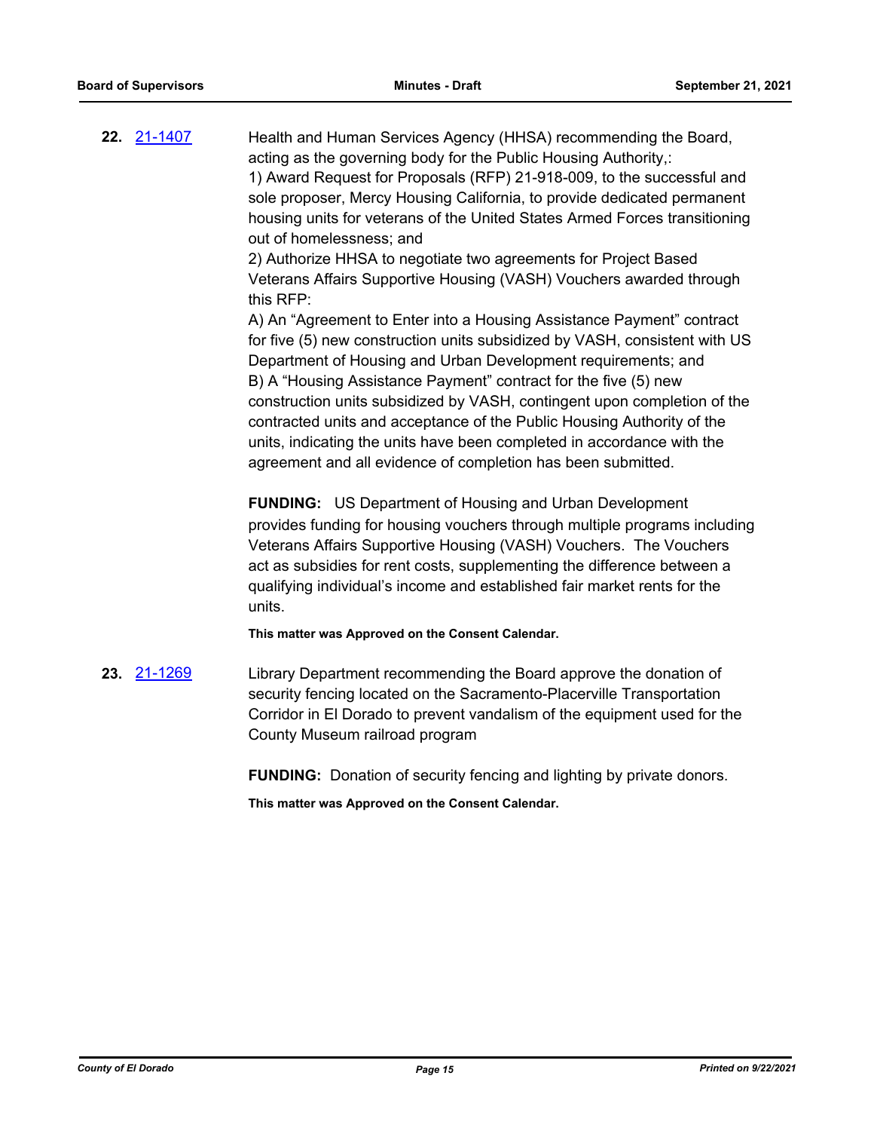**22.** [21-1407](http://eldorado.legistar.com/gateway.aspx?m=l&id=/matter.aspx?key=30302) Health and Human Services Agency (HHSA) recommending the Board, acting as the governing body for the Public Housing Authority,: 1) Award Request for Proposals (RFP) 21-918-009, to the successful and sole proposer, Mercy Housing California, to provide dedicated permanent housing units for veterans of the United States Armed Forces transitioning out of homelessness; and 2) Authorize HHSA to negotiate two agreements for Project Based Veterans Affairs Supportive Housing (VASH) Vouchers awarded through this RFP: A) An "Agreement to Enter into a Housing Assistance Payment" contract for five (5) new construction units subsidized by VASH, consistent with US Department of Housing and Urban Development requirements; and B) A "Housing Assistance Payment" contract for the five (5) new construction units subsidized by VASH, contingent upon completion of the contracted units and acceptance of the Public Housing Authority of the units, indicating the units have been completed in accordance with the agreement and all evidence of completion has been submitted. **FUNDING:** US Department of Housing and Urban Development

provides funding for housing vouchers through multiple programs including Veterans Affairs Supportive Housing (VASH) Vouchers. The Vouchers act as subsidies for rent costs, supplementing the difference between a qualifying individual's income and established fair market rents for the units.

**This matter was Approved on the Consent Calendar.**

**23.** [21-1269](http://eldorado.legistar.com/gateway.aspx?m=l&id=/matter.aspx?key=30164) Library Department recommending the Board approve the donation of security fencing located on the Sacramento-Placerville Transportation Corridor in El Dorado to prevent vandalism of the equipment used for the County Museum railroad program

**FUNDING:** Donation of security fencing and lighting by private donors.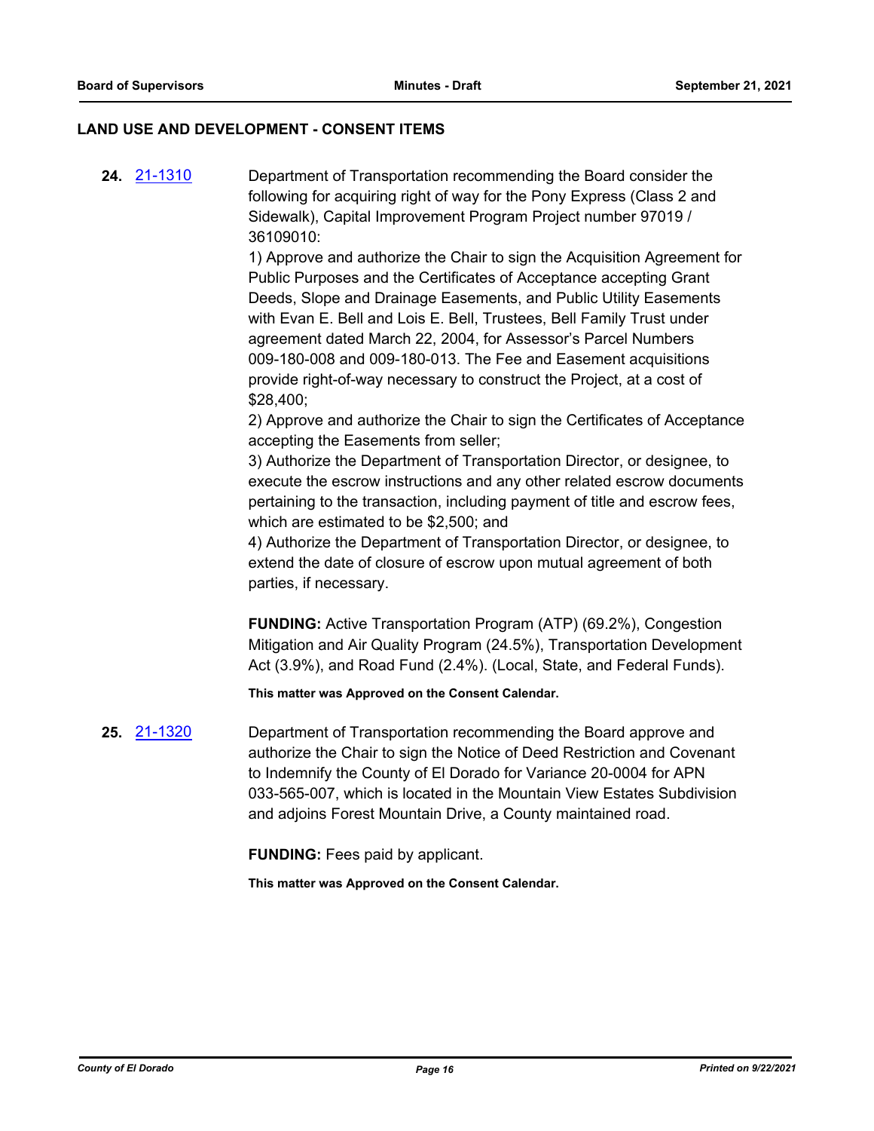#### **LAND USE AND DEVELOPMENT - CONSENT ITEMS**

**24.** [21-1310](http://eldorado.legistar.com/gateway.aspx?m=l&id=/matter.aspx?key=30205) Department of Transportation recommending the Board consider the following for acquiring right of way for the Pony Express (Class 2 and Sidewalk), Capital Improvement Program Project number 97019 / 36109010:

> 1) Approve and authorize the Chair to sign the Acquisition Agreement for Public Purposes and the Certificates of Acceptance accepting Grant Deeds, Slope and Drainage Easements, and Public Utility Easements with Evan E. Bell and Lois E. Bell, Trustees, Bell Family Trust under agreement dated March 22, 2004, for Assessor's Parcel Numbers 009-180-008 and 009-180-013. The Fee and Easement acquisitions provide right-of-way necessary to construct the Project, at a cost of \$28,400;

> 2) Approve and authorize the Chair to sign the Certificates of Acceptance accepting the Easements from seller;

> 3) Authorize the Department of Transportation Director, or designee, to execute the escrow instructions and any other related escrow documents pertaining to the transaction, including payment of title and escrow fees, which are estimated to be \$2,500; and

4) Authorize the Department of Transportation Director, or designee, to extend the date of closure of escrow upon mutual agreement of both parties, if necessary.

**FUNDING:** Active Transportation Program (ATP) (69.2%), Congestion Mitigation and Air Quality Program (24.5%), Transportation Development Act (3.9%), and Road Fund (2.4%). (Local, State, and Federal Funds).

**This matter was Approved on the Consent Calendar.**

**25.** [21-1320](http://eldorado.legistar.com/gateway.aspx?m=l&id=/matter.aspx?key=30215) Department of Transportation recommending the Board approve and authorize the Chair to sign the Notice of Deed Restriction and Covenant to Indemnify the County of El Dorado for Variance 20-0004 for APN 033-565-007, which is located in the Mountain View Estates Subdivision and adjoins Forest Mountain Drive, a County maintained road.

**FUNDING:** Fees paid by applicant.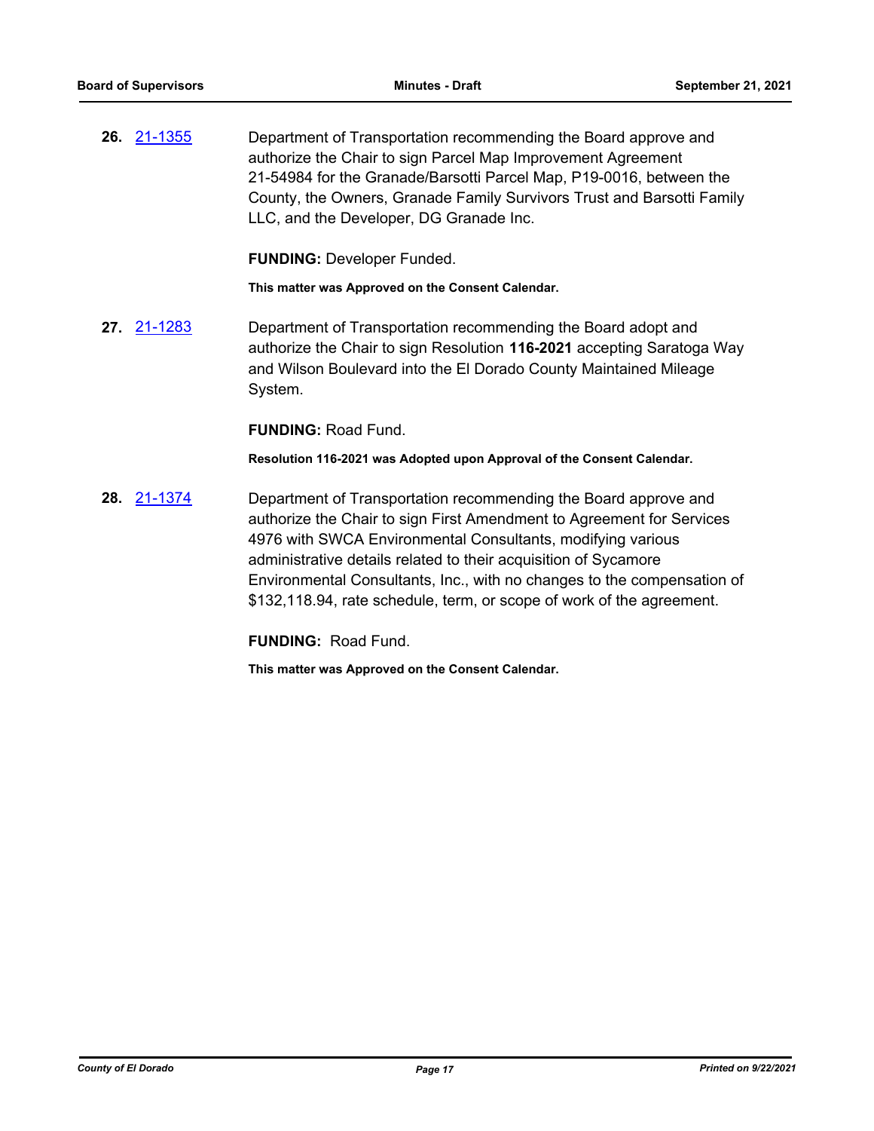**26.** [21-1355](http://eldorado.legistar.com/gateway.aspx?m=l&id=/matter.aspx?key=30250) Department of Transportation recommending the Board approve and authorize the Chair to sign Parcel Map Improvement Agreement 21-54984 for the Granade/Barsotti Parcel Map, P19-0016, between the County, the Owners, Granade Family Survivors Trust and Barsotti Family LLC, and the Developer, DG Granade Inc.

**FUNDING:** Developer Funded.

**This matter was Approved on the Consent Calendar.**

**27.** [21-1283](http://eldorado.legistar.com/gateway.aspx?m=l&id=/matter.aspx?key=30178) Department of Transportation recommending the Board adopt and authorize the Chair to sign Resolution **116-2021** accepting Saratoga Way and Wilson Boulevard into the El Dorado County Maintained Mileage System.

**FUNDING:** Road Fund.

**Resolution 116-2021 was Adopted upon Approval of the Consent Calendar.**

**28.** [21-1374](http://eldorado.legistar.com/gateway.aspx?m=l&id=/matter.aspx?key=30269) Department of Transportation recommending the Board approve and authorize the Chair to sign First Amendment to Agreement for Services 4976 with SWCA Environmental Consultants, modifying various administrative details related to their acquisition of Sycamore Environmental Consultants, Inc., with no changes to the compensation of \$132,118.94, rate schedule, term, or scope of work of the agreement.

**FUNDING:** Road Fund.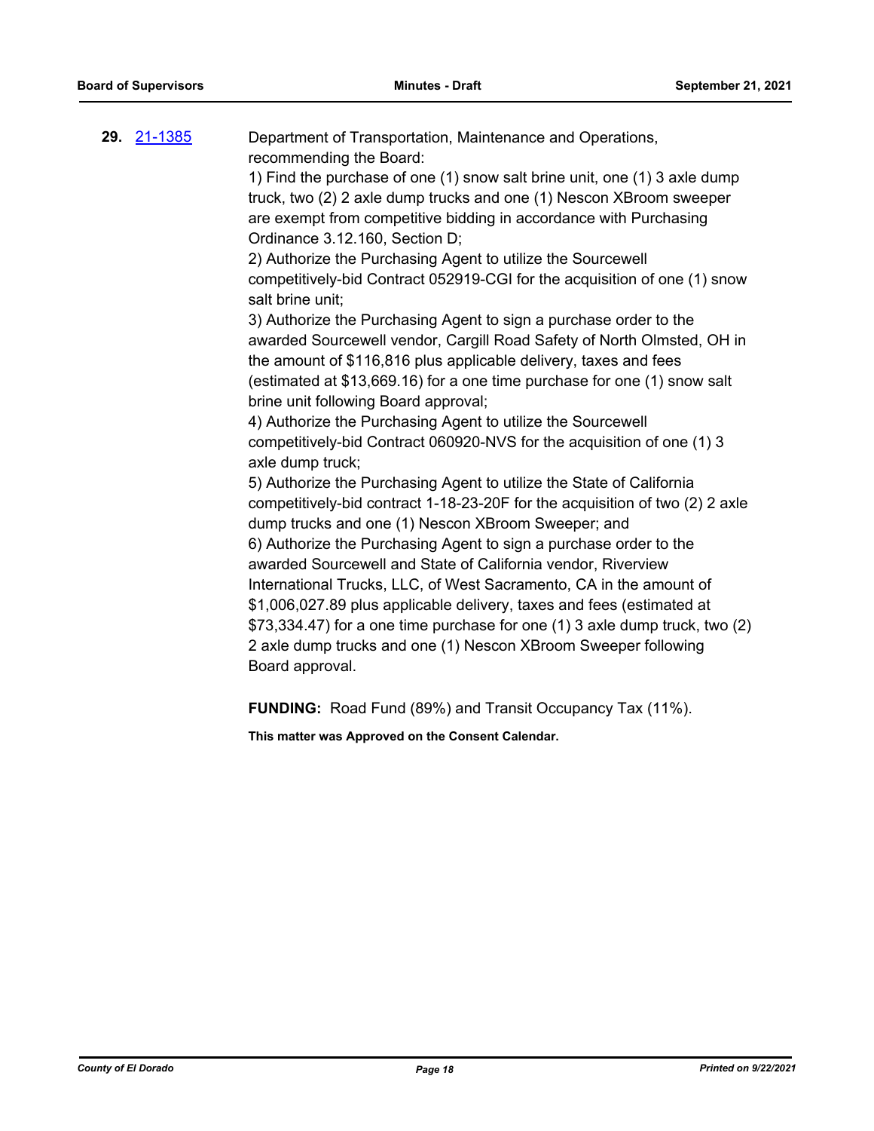| 29. <u>21-1385</u> | Department of Transportation, Maintenance and Operations,                                     |
|--------------------|-----------------------------------------------------------------------------------------------|
|                    | recommending the Board:                                                                       |
|                    | 1) Find the purchase of one (1) snow salt brine unit, one (1) 3 axle dump                     |
|                    | truck, two (2) 2 axle dump trucks and one (1) Nescon XBroom sweeper                           |
|                    | are exempt from competitive bidding in accordance with Purchasing                             |
|                    | Ordinance 3.12.160, Section D;                                                                |
|                    | 2) Authorize the Purchasing Agent to utilize the Sourcewell                                   |
|                    | competitively-bid Contract 052919-CGI for the acquisition of one (1) snow<br>salt brine unit; |
|                    | 3) Authorize the Purchasing Agent to sign a purchase order to the                             |
|                    | awarded Sourcewell vendor, Cargill Road Safety of North Olmsted, OH in                        |
|                    | the amount of \$116,816 plus applicable delivery, taxes and fees                              |
|                    | (estimated at \$13,669.16) for a one time purchase for one (1) snow salt                      |
|                    | brine unit following Board approval;                                                          |
|                    | 4) Authorize the Purchasing Agent to utilize the Sourcewell                                   |
|                    | competitively-bid Contract 060920-NVS for the acquisition of one (1) 3                        |
|                    | axle dump truck;                                                                              |
|                    | 5) Authorize the Purchasing Agent to utilize the State of California                          |
|                    | competitively-bid contract 1-18-23-20F for the acquisition of two (2) 2 axle                  |
|                    | dump trucks and one (1) Nescon XBroom Sweeper; and                                            |
|                    | 6) Authorize the Purchasing Agent to sign a purchase order to the                             |
|                    | awarded Sourcewell and State of California vendor, Riverview                                  |
|                    | International Trucks, LLC, of West Sacramento, CA in the amount of                            |
|                    | \$1,006,027.89 plus applicable delivery, taxes and fees (estimated at                         |
|                    | \$73,334.47) for a one time purchase for one (1) 3 axle dump truck, two (2)                   |
|                    | 2 axle dump trucks and one (1) Nescon XBroom Sweeper following                                |
|                    | Board approval.                                                                               |
|                    |                                                                                               |
|                    |                                                                                               |

**FUNDING:** Road Fund (89%) and Transit Occupancy Tax (11%).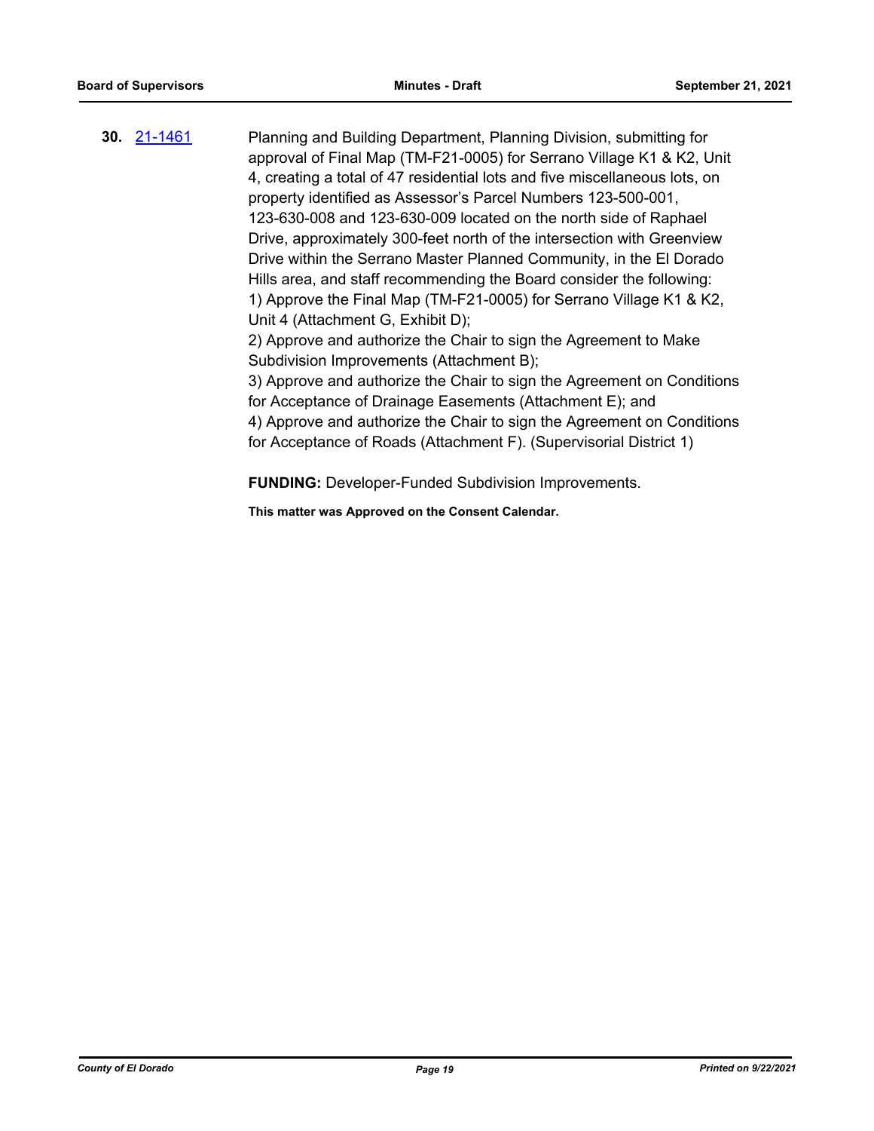**30.** [21-1461](http://eldorado.legistar.com/gateway.aspx?m=l&id=/matter.aspx?key=30356) Planning and Building Department, Planning Division, submitting for approval of Final Map (TM-F21-0005) for Serrano Village K1 & K2, Unit 4, creating a total of 47 residential lots and five miscellaneous lots, on property identified as Assessor's Parcel Numbers 123-500-001, 123-630-008 and 123-630-009 located on the north side of Raphael Drive, approximately 300-feet north of the intersection with Greenview Drive within the Serrano Master Planned Community, in the El Dorado Hills area, and staff recommending the Board consider the following: 1) Approve the Final Map (TM-F21-0005) for Serrano Village K1 & K2, Unit 4 (Attachment G, Exhibit D); 2) Approve and authorize the Chair to sign the Agreement to Make Subdivision Improvements (Attachment B); 3) Approve and authorize the Chair to sign the Agreement on Conditions for Acceptance of Drainage Easements (Attachment E); and 4) Approve and authorize the Chair to sign the Agreement on Conditions for Acceptance of Roads (Attachment F). (Supervisorial District 1)

**FUNDING:** Developer-Funded Subdivision Improvements.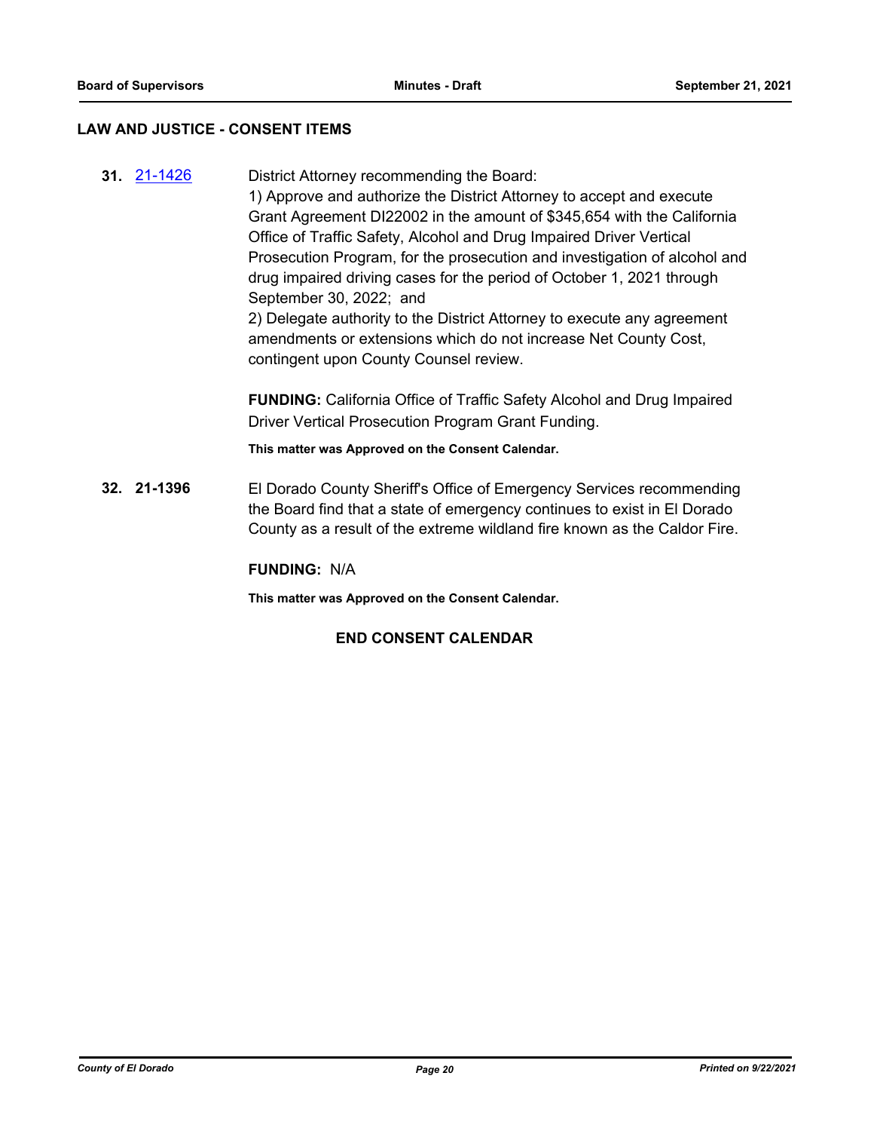#### **LAW AND JUSTICE - CONSENT ITEMS**

**31.** [21-1426](http://eldorado.legistar.com/gateway.aspx?m=l&id=/matter.aspx?key=30321) District Attorney recommending the Board: 1) Approve and authorize the District Attorney to accept and execute Grant Agreement DI22002 in the amount of \$345,654 with the California Office of Traffic Safety, Alcohol and Drug Impaired Driver Vertical Prosecution Program, for the prosecution and investigation of alcohol and drug impaired driving cases for the period of October 1, 2021 through September 30, 2022; and 2) Delegate authority to the District Attorney to execute any agreement amendments or extensions which do not increase Net County Cost, contingent upon County Counsel review. **FUNDING:** California Office of Traffic Safety Alcohol and Drug Impaired Driver Vertical Prosecution Program Grant Funding. **This matter was Approved on the Consent Calendar. 32. 21-1396** El Dorado County Sheriff's Office of Emergency Services recommending the Board find that a state of emergency continues to exist in El Dorado

**FUNDING:** N/A

**This matter was Approved on the Consent Calendar.**

### **END CONSENT CALENDAR**

County as a result of the extreme wildland fire known as the Caldor Fire.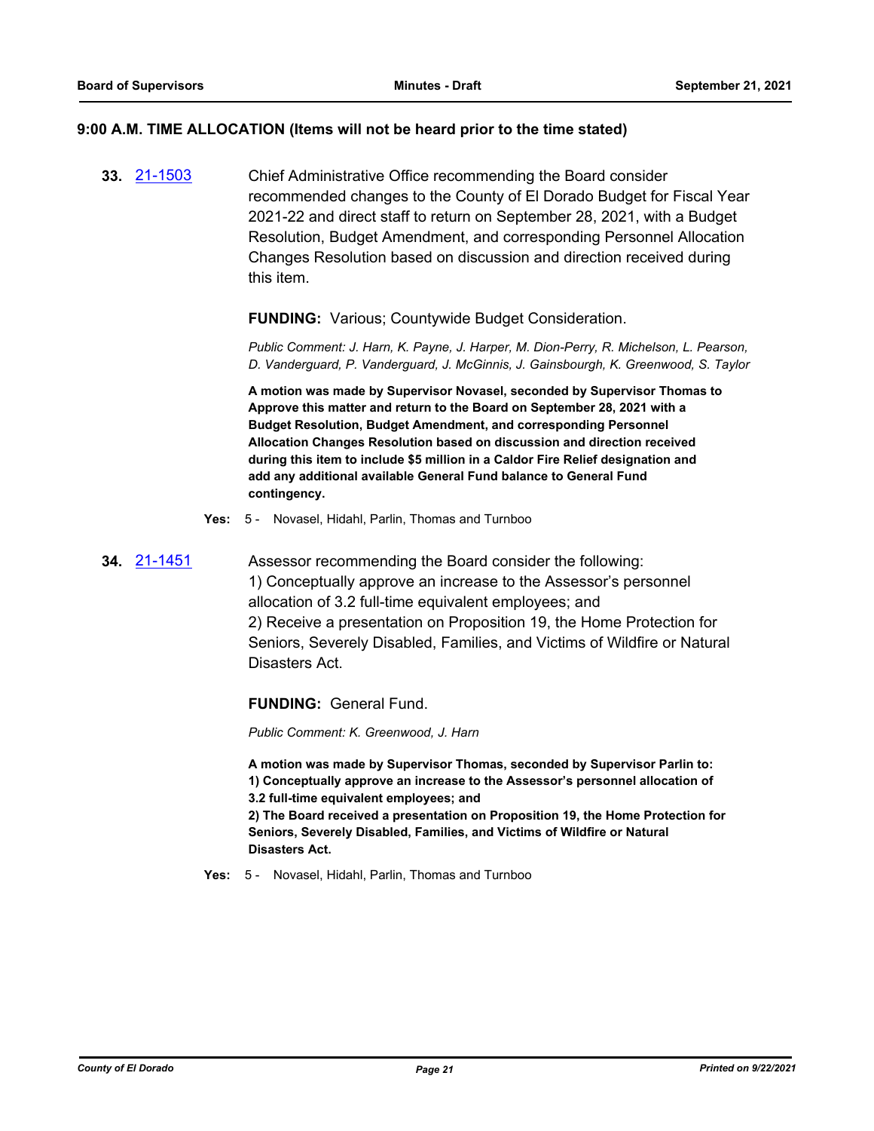#### **9:00 A.M. TIME ALLOCATION (Items will not be heard prior to the time stated)**

**33.** [21-1503](http://eldorado.legistar.com/gateway.aspx?m=l&id=/matter.aspx?key=30398) Chief Administrative Office recommending the Board consider recommended changes to the County of El Dorado Budget for Fiscal Year 2021-22 and direct staff to return on September 28, 2021, with a Budget Resolution, Budget Amendment, and corresponding Personnel Allocation Changes Resolution based on discussion and direction received during this item.

#### **FUNDING:** Various; Countywide Budget Consideration.

*Public Comment: J. Harn, K. Payne, J. Harper, M. Dion-Perry, R. Michelson, L. Pearson, D. Vanderguard, P. Vanderguard, J. McGinnis, J. Gainsbourgh, K. Greenwood, S. Taylor*

**A motion was made by Supervisor Novasel, seconded by Supervisor Thomas to Approve this matter and return to the Board on September 28, 2021 with a Budget Resolution, Budget Amendment, and corresponding Personnel Allocation Changes Resolution based on discussion and direction received during this item to include \$5 million in a Caldor Fire Relief designation and add any additional available General Fund balance to General Fund contingency.**

- **Yes:** 5 Novasel, Hidahl, Parlin, Thomas and Turnboo
- **34.** [21-1451](http://eldorado.legistar.com/gateway.aspx?m=l&id=/matter.aspx?key=30346) Assessor recommending the Board consider the following: 1) Conceptually approve an increase to the Assessor's personnel allocation of 3.2 full-time equivalent employees; and 2) Receive a presentation on Proposition 19, the Home Protection for Seniors, Severely Disabled, Families, and Victims of Wildfire or Natural Disasters Act.

**FUNDING:** General Fund.

*Public Comment: K. Greenwood, J. Harn*

**A motion was made by Supervisor Thomas, seconded by Supervisor Parlin to: 1) Conceptually approve an increase to the Assessor's personnel allocation of 3.2 full-time equivalent employees; and**

**2) The Board received a presentation on Proposition 19, the Home Protection for Seniors, Severely Disabled, Families, and Victims of Wildfire or Natural Disasters Act.**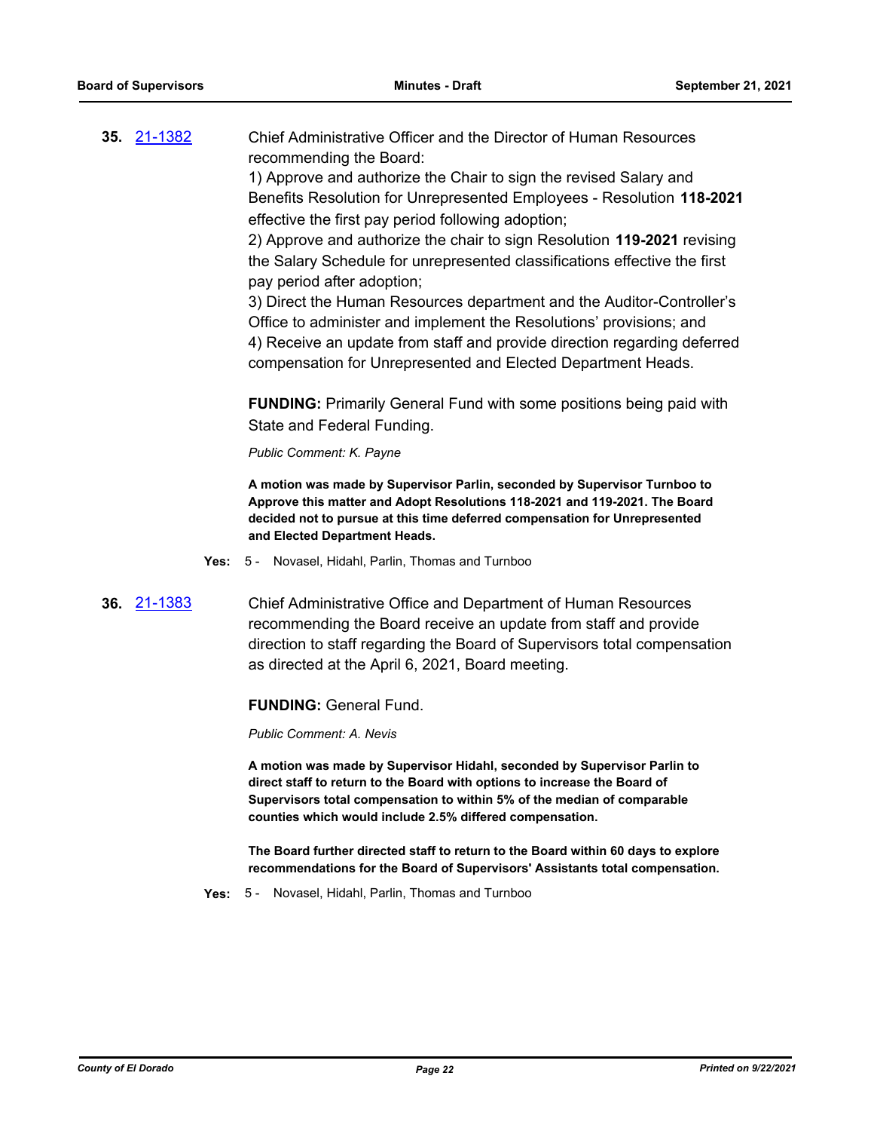**35.** [21-1382](http://eldorado.legistar.com/gateway.aspx?m=l&id=/matter.aspx?key=30277) Chief Administrative Officer and the Director of Human Resources recommending the Board:

1) Approve and authorize the Chair to sign the revised Salary and Benefits Resolution for Unrepresented Employees - Resolution **118-2021** effective the first pay period following adoption;

2) Approve and authorize the chair to sign Resolution **119-2021** revising the Salary Schedule for unrepresented classifications effective the first pay period after adoption;

3) Direct the Human Resources department and the Auditor-Controller's Office to administer and implement the Resolutions' provisions; and 4) Receive an update from staff and provide direction regarding deferred compensation for Unrepresented and Elected Department Heads.

**FUNDING:** Primarily General Fund with some positions being paid with State and Federal Funding.

*Public Comment: K. Payne*

**A motion was made by Supervisor Parlin, seconded by Supervisor Turnboo to Approve this matter and Adopt Resolutions 118-2021 and 119-2021. The Board decided not to pursue at this time deferred compensation for Unrepresented and Elected Department Heads.**

- **Yes:** 5 Novasel, Hidahl, Parlin, Thomas and Turnboo
- **36.** [21-1383](http://eldorado.legistar.com/gateway.aspx?m=l&id=/matter.aspx?key=30278) Chief Administrative Office and Department of Human Resources recommending the Board receive an update from staff and provide direction to staff regarding the Board of Supervisors total compensation as directed at the April 6, 2021, Board meeting.

#### **FUNDING:** General Fund.

*Public Comment: A. Nevis*

**A motion was made by Supervisor Hidahl, seconded by Supervisor Parlin to direct staff to return to the Board with options to increase the Board of Supervisors total compensation to within 5% of the median of comparable counties which would include 2.5% differed compensation.**

**The Board further directed staff to return to the Board within 60 days to explore recommendations for the Board of Supervisors' Assistants total compensation.**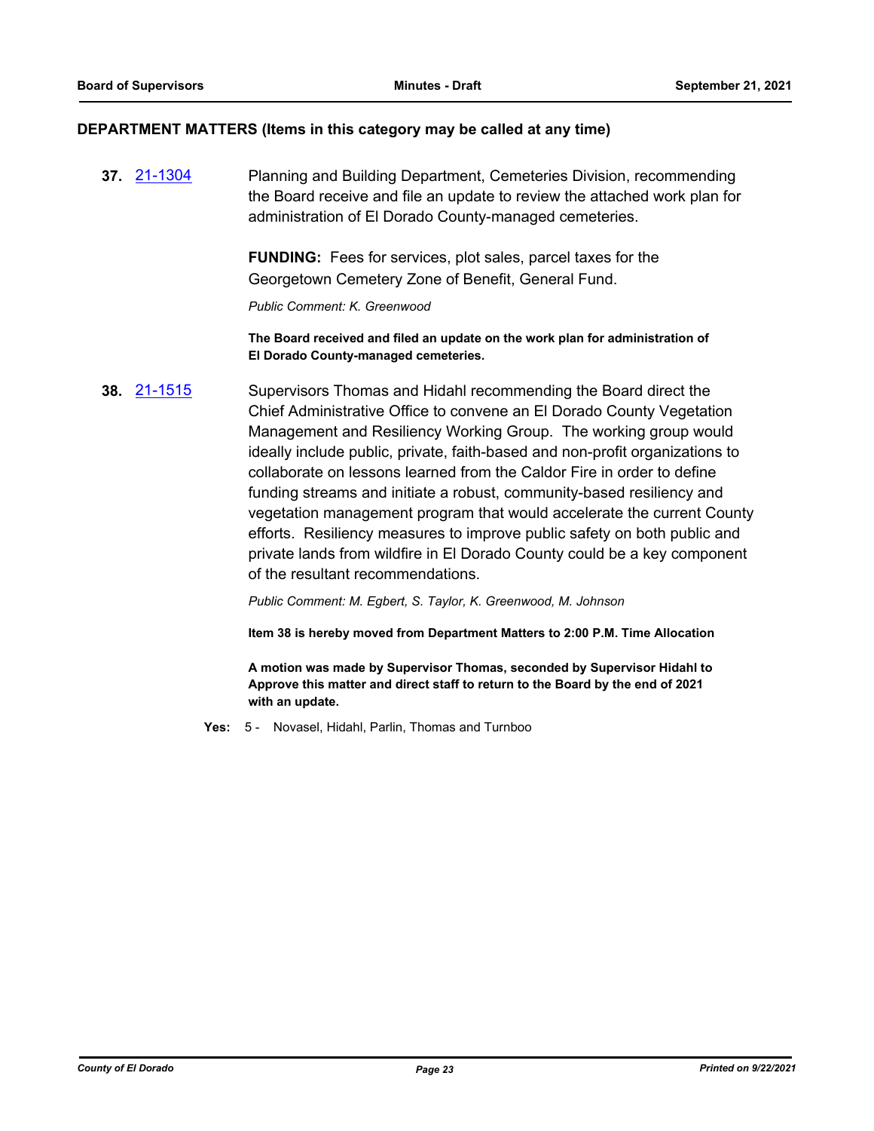#### **DEPARTMENT MATTERS (Items in this category may be called at any time)**

**37.** [21-1304](http://eldorado.legistar.com/gateway.aspx?m=l&id=/matter.aspx?key=30199) Planning and Building Department, Cemeteries Division, recommending the Board receive and file an update to review the attached work plan for administration of El Dorado County-managed cemeteries.

> **FUNDING:** Fees for services, plot sales, parcel taxes for the Georgetown Cemetery Zone of Benefit, General Fund.

*Public Comment: K. Greenwood*

**The Board received and filed an update on the work plan for administration of El Dorado County-managed cemeteries.**

**38.** [21-1515](http://eldorado.legistar.com/gateway.aspx?m=l&id=/matter.aspx?key=30410) Supervisors Thomas and Hidahl recommending the Board direct the Chief Administrative Office to convene an El Dorado County Vegetation Management and Resiliency Working Group. The working group would ideally include public, private, faith-based and non-profit organizations to collaborate on lessons learned from the Caldor Fire in order to define funding streams and initiate a robust, community-based resiliency and vegetation management program that would accelerate the current County efforts. Resiliency measures to improve public safety on both public and private lands from wildfire in El Dorado County could be a key component of the resultant recommendations.

*Public Comment: M. Egbert, S. Taylor, K. Greenwood, M. Johnson*

**Item 38 is hereby moved from Department Matters to 2:00 P.M. Time Allocation**

**A motion was made by Supervisor Thomas, seconded by Supervisor Hidahl to Approve this matter and direct staff to return to the Board by the end of 2021 with an update.**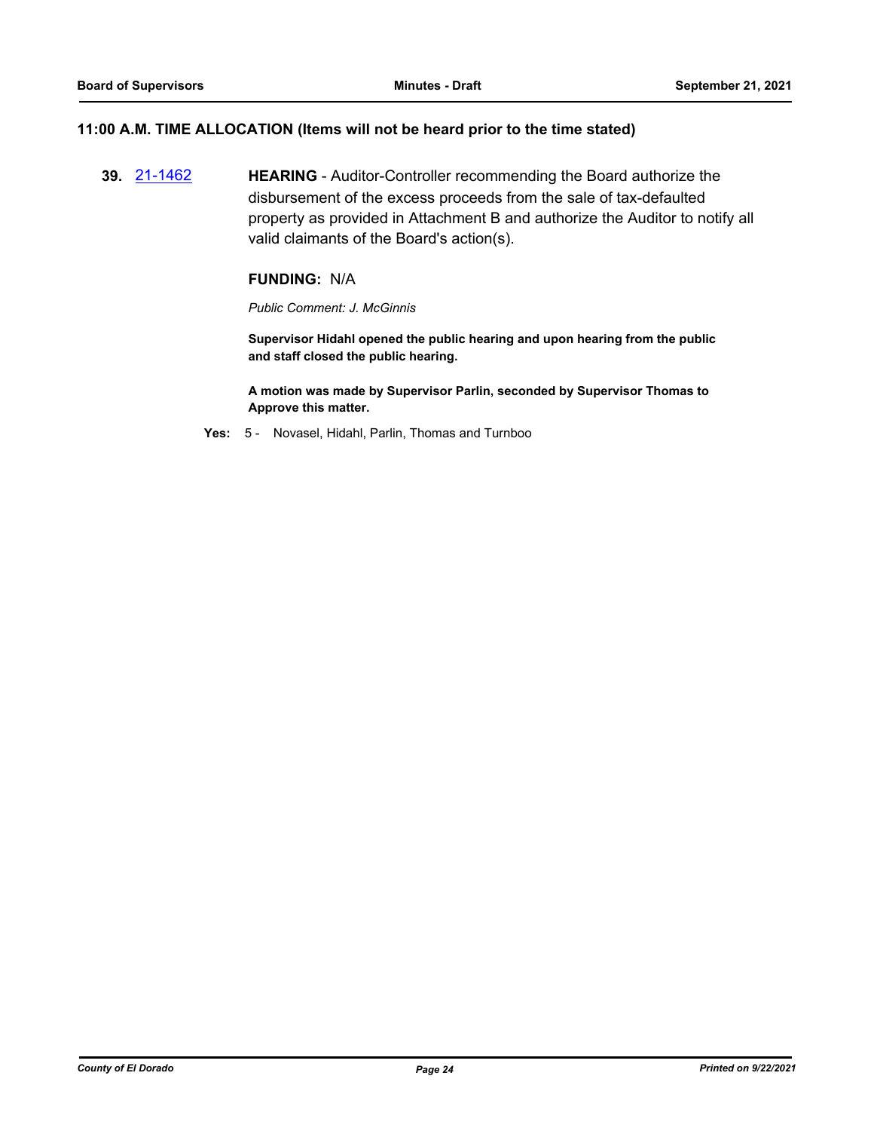#### **11:00 A.M. TIME ALLOCATION (Items will not be heard prior to the time stated)**

**39.** [21-1462](http://eldorado.legistar.com/gateway.aspx?m=l&id=/matter.aspx?key=30357) **HEARING** - Auditor-Controller recommending the Board authorize the disbursement of the excess proceeds from the sale of tax-defaulted property as provided in Attachment B and authorize the Auditor to notify all valid claimants of the Board's action(s).

#### **FUNDING:** N/A

*Public Comment: J. McGinnis*

**Supervisor Hidahl opened the public hearing and upon hearing from the public and staff closed the public hearing.**

**A motion was made by Supervisor Parlin, seconded by Supervisor Thomas to Approve this matter.**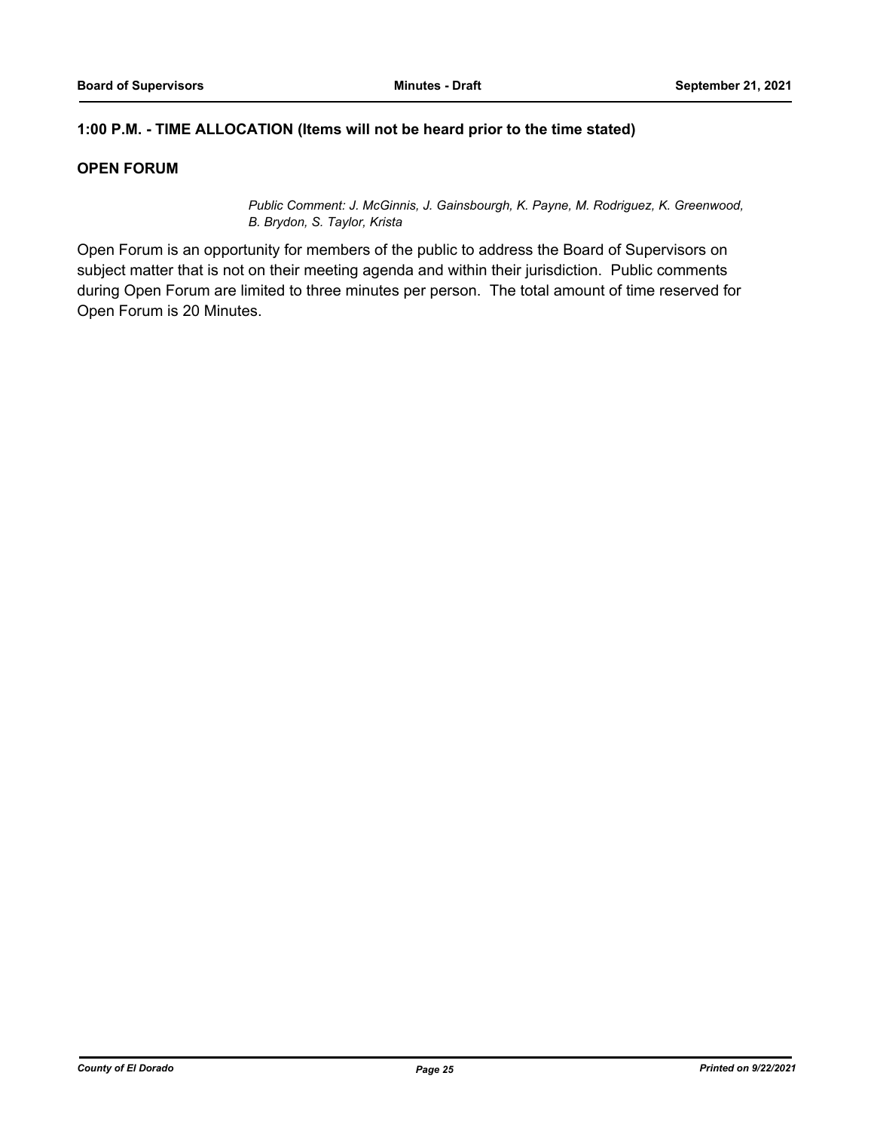## **1:00 P.M. - TIME ALLOCATION (Items will not be heard prior to the time stated)**

## **OPEN FORUM**

*Public Comment: J. McGinnis, J. Gainsbourgh, K. Payne, M. Rodriguez, K. Greenwood, B. Brydon, S. Taylor, Krista*

Open Forum is an opportunity for members of the public to address the Board of Supervisors on subject matter that is not on their meeting agenda and within their jurisdiction. Public comments during Open Forum are limited to three minutes per person. The total amount of time reserved for Open Forum is 20 Minutes.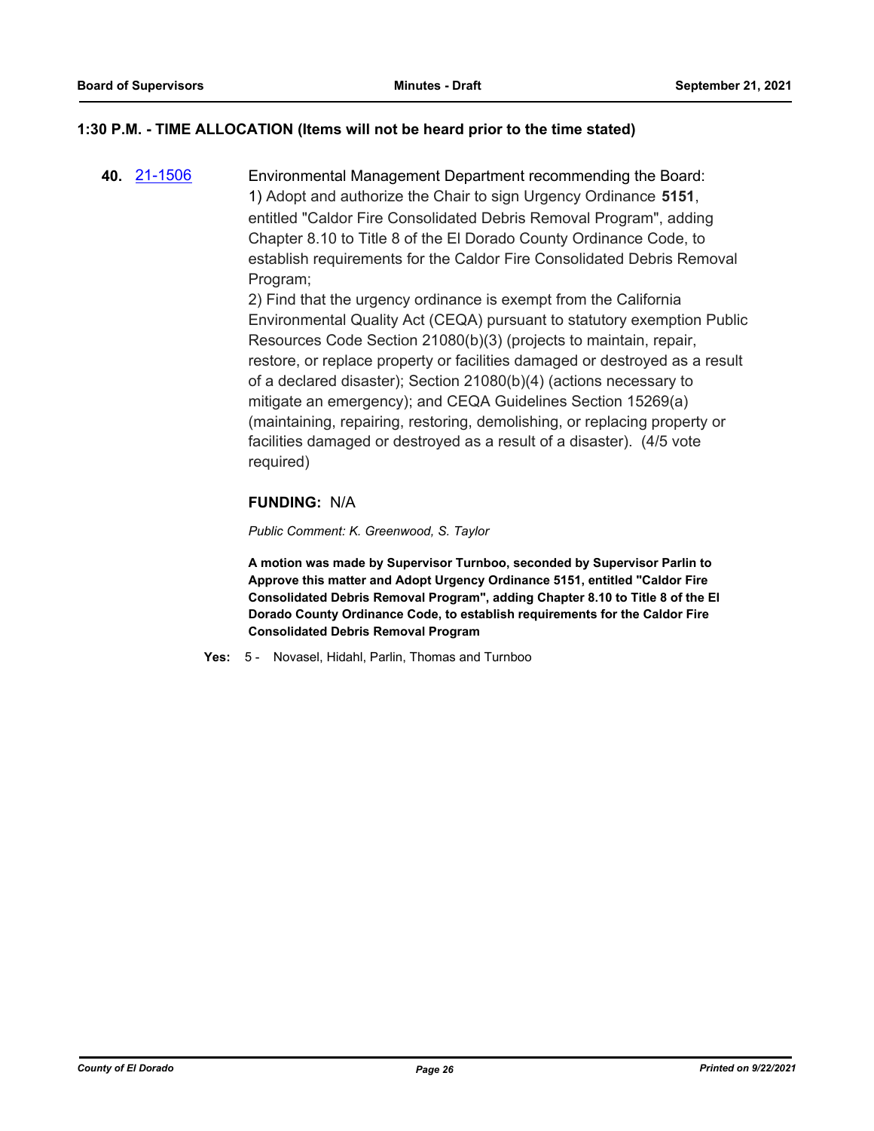### **1:30 P.M. - TIME ALLOCATION (Items will not be heard prior to the time stated)**

**40.** [21-1506](http://eldorado.legistar.com/gateway.aspx?m=l&id=/matter.aspx?key=30401) Environmental Management Department recommending the Board: 1) Adopt and authorize the Chair to sign Urgency Ordinance **5151**, entitled "Caldor Fire Consolidated Debris Removal Program", adding Chapter 8.10 to Title 8 of the El Dorado County Ordinance Code, to establish requirements for the Caldor Fire Consolidated Debris Removal Program;

2) Find that the urgency ordinance is exempt from the California Environmental Quality Act (CEQA) pursuant to statutory exemption Public Resources Code Section 21080(b)(3) (projects to maintain, repair, restore, or replace property or facilities damaged or destroyed as a result of a declared disaster); Section 21080(b)(4) (actions necessary to mitigate an emergency); and CEQA Guidelines Section 15269(a) (maintaining, repairing, restoring, demolishing, or replacing property or facilities damaged or destroyed as a result of a disaster). (4/5 vote required)

## **FUNDING:** N/A

*Public Comment: K. Greenwood, S. Taylor*

**A motion was made by Supervisor Turnboo, seconded by Supervisor Parlin to Approve this matter and Adopt Urgency Ordinance 5151, entitled "Caldor Fire Consolidated Debris Removal Program", adding Chapter 8.10 to Title 8 of the El Dorado County Ordinance Code, to establish requirements for the Caldor Fire Consolidated Debris Removal Program**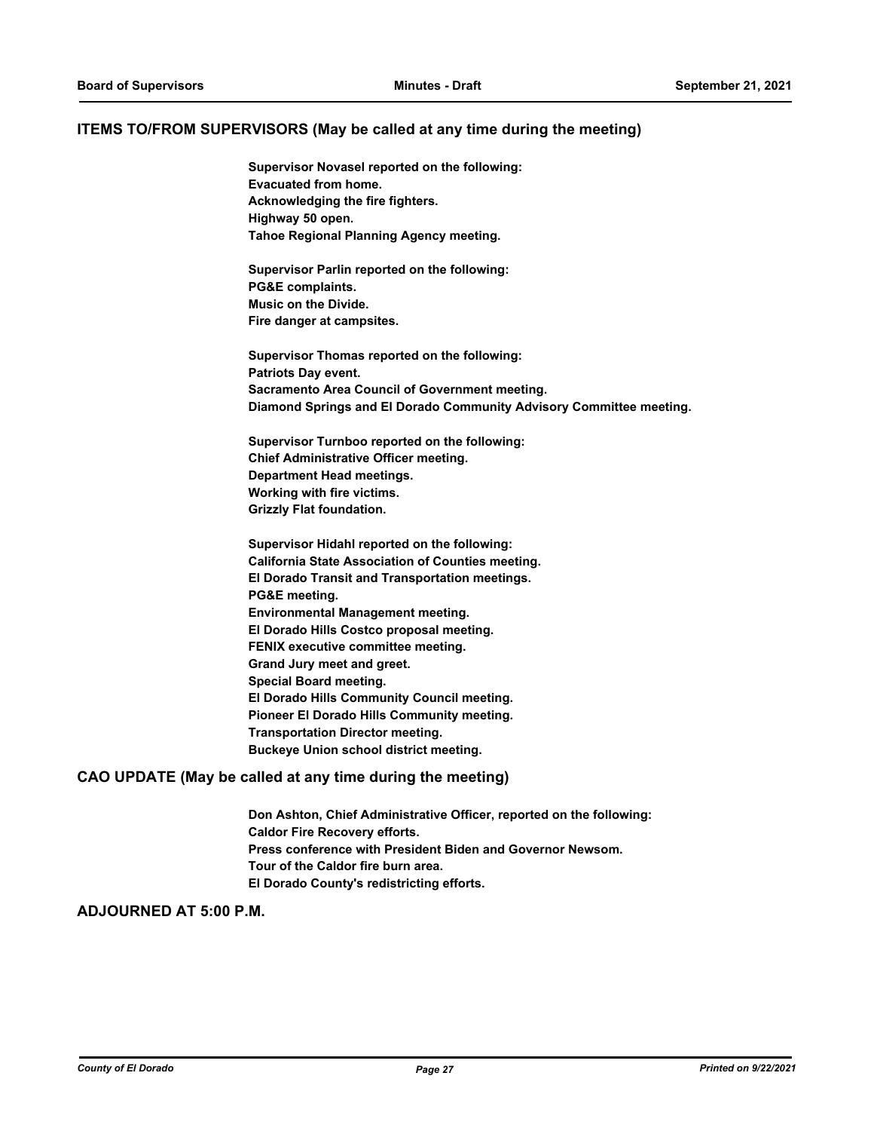#### **ITEMS TO/FROM SUPERVISORS (May be called at any time during the meeting)**

**Supervisor Novasel reported on the following: Evacuated from home. Acknowledging the fire fighters. Highway 50 open. Tahoe Regional Planning Agency meeting.**

**Supervisor Parlin reported on the following: PG&E complaints. Music on the Divide. Fire danger at campsites.**

**Supervisor Thomas reported on the following: Patriots Day event. Sacramento Area Council of Government meeting. Diamond Springs and El Dorado Community Advisory Committee meeting.**

**Supervisor Turnboo reported on the following: Chief Administrative Officer meeting. Department Head meetings. Working with fire victims. Grizzly Flat foundation.**

**Supervisor Hidahl reported on the following: California State Association of Counties meeting. El Dorado Transit and Transportation meetings. PG&E meeting. Environmental Management meeting. El Dorado Hills Costco proposal meeting. FENIX executive committee meeting. Grand Jury meet and greet. Special Board meeting. El Dorado Hills Community Council meeting. Pioneer El Dorado Hills Community meeting. Transportation Director meeting. Buckeye Union school district meeting.**

#### **CAO UPDATE (May be called at any time during the meeting)**

**Don Ashton, Chief Administrative Officer, reported on the following: Caldor Fire Recovery efforts. Press conference with President Biden and Governor Newsom. Tour of the Caldor fire burn area. El Dorado County's redistricting efforts.**

#### **ADJOURNED AT 5:00 P.M.**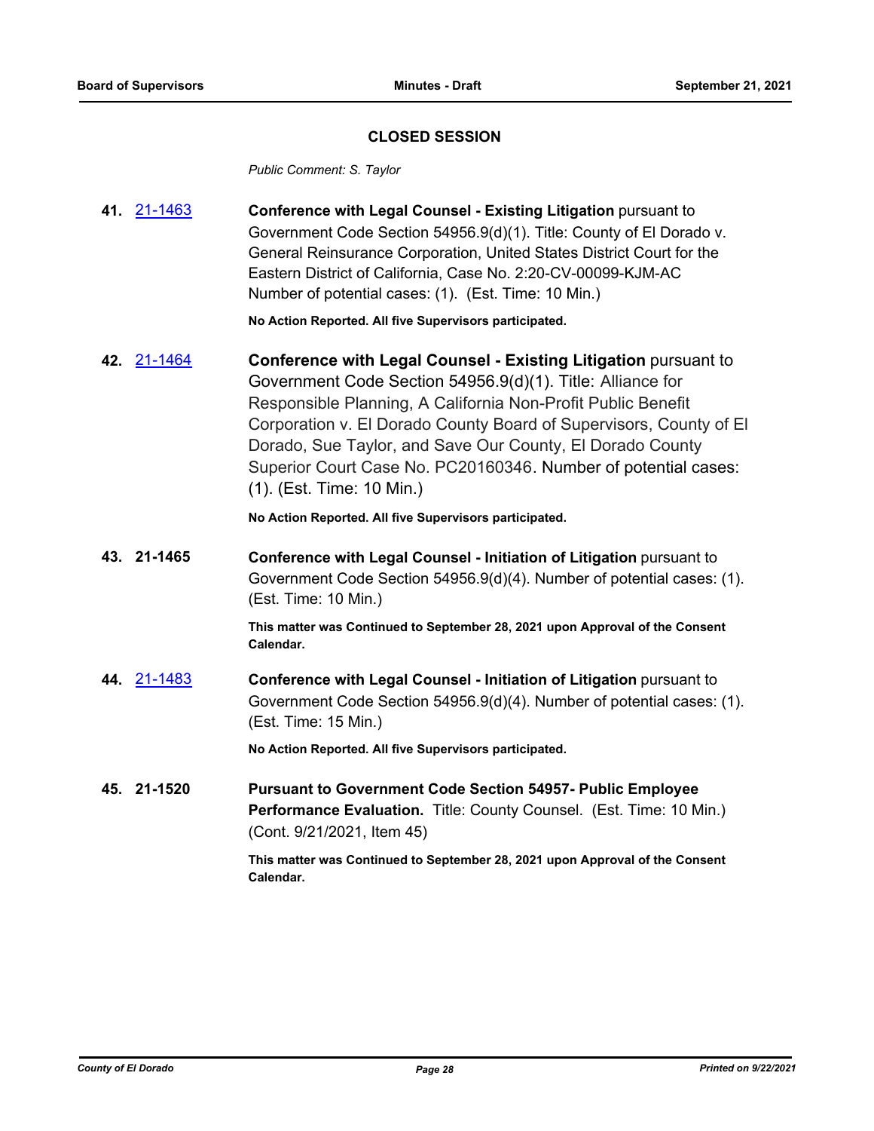### **CLOSED SESSION**

*Public Comment: S. Taylor*

| 41. 21-1463 | <b>Conference with Legal Counsel - Existing Litigation pursuant to</b> |
|-------------|------------------------------------------------------------------------|
|             | Government Code Section 54956.9(d)(1). Title: County of El Dorado v.   |
|             | General Reinsurance Corporation, United States District Court for the  |
|             | Eastern District of California, Case No. 2:20-CV-00099-KJM-AC          |
|             | Number of potential cases: (1). (Est. Time: 10 Min.)                   |

**No Action Reported. All five Supervisors participated.**

**42.** [21-1464](http://eldorado.legistar.com/gateway.aspx?m=l&id=/matter.aspx?key=30359) **Conference with Legal Counsel - Existing Litigation** pursuant to Government Code Section 54956.9(d)(1). Title: Alliance for Responsible Planning, A California Non-Profit Public Benefit Corporation v. El Dorado County Board of Supervisors, County of El Dorado, Sue Taylor, and Save Our County, El Dorado County Superior Court Case No. PC20160346. Number of potential cases: (1). (Est. Time: 10 Min.)

**No Action Reported. All five Supervisors participated.**

**43. 21-1465 Conference with Legal Counsel - Initiation of Litigation** pursuant to Government Code Section 54956.9(d)(4). Number of potential cases: (1). (Est. Time: 10 Min.)

> **This matter was Continued to September 28, 2021 upon Approval of the Consent Calendar.**

**44.** [21-1483](http://eldorado.legistar.com/gateway.aspx?m=l&id=/matter.aspx?key=30378) **Conference with Legal Counsel - Initiation of Litigation** pursuant to Government Code Section 54956.9(d)(4). Number of potential cases: (1). (Est. Time: 15 Min.)

**No Action Reported. All five Supervisors participated.**

**45. 21-1520 Pursuant to Government Code Section 54957- Public Employee Performance Evaluation.** Title: County Counsel. (Est. Time: 10 Min.) (Cont. 9/21/2021, Item 45)

> **This matter was Continued to September 28, 2021 upon Approval of the Consent Calendar.**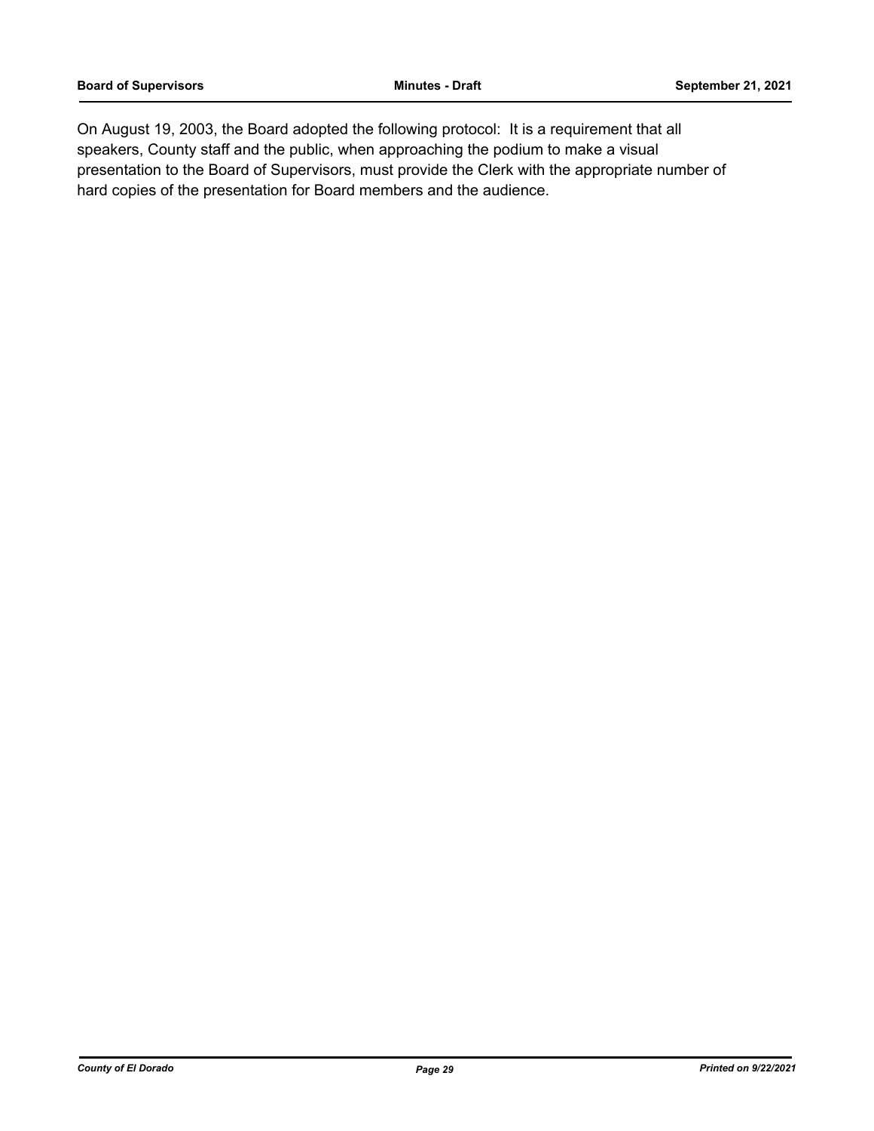On August 19, 2003, the Board adopted the following protocol: It is a requirement that all speakers, County staff and the public, when approaching the podium to make a visual presentation to the Board of Supervisors, must provide the Clerk with the appropriate number of hard copies of the presentation for Board members and the audience.